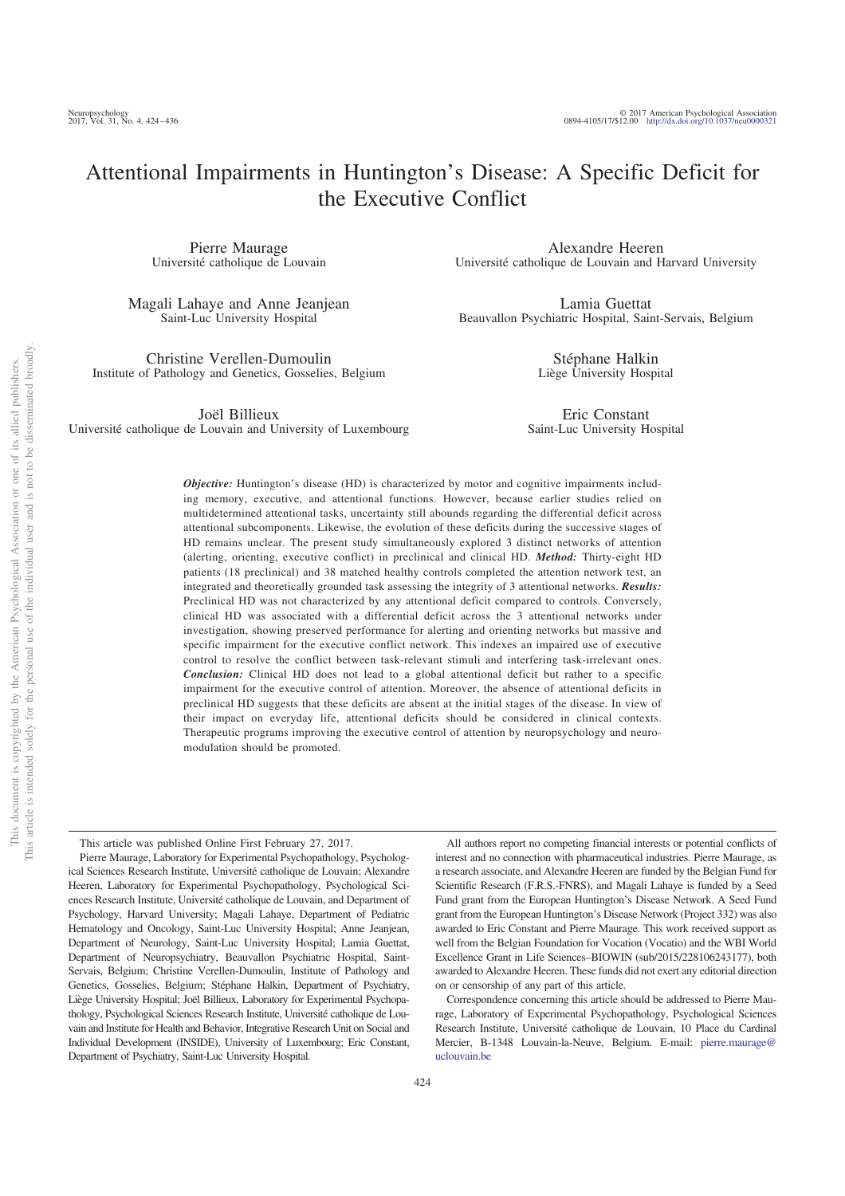Pierre Maurage Université catholique de Louvain

Magali Lahaye and Anne Jeanjean Saint-Luc University Hospital

Christine Verellen-Dumoulin Institute of Pathology and Genetics, Gosselies, Belgium

Joël Billieux

Université catholique de Louvain and University of Luxembourg

Alexandre Heeren Université catholique de Louvain and Harvard University

Lamia Guettat Beauvallon Psychiatric Hospital, Saint-Servais, Belgium

> Stéphane Halkin Liège University Hospital

Eric Constant Saint-Luc University Hospital

*Objective:* Huntington's disease (HD) is characterized by motor and cognitive impairments including memory, executive, and attentional functions. However, because earlier studies relied on multidetermined attentional tasks, uncertainty still abounds regarding the differential deficit across attentional subcomponents. Likewise, the evolution of these deficits during the successive stages of HD remains unclear. The present study simultaneously explored 3 distinct networks of attention (alerting, orienting, executive conflict) in preclinical and clinical HD. *Method:* Thirty-eight HD patients (18 preclinical) and 38 matched healthy controls completed the attention network test, an integrated and theoretically grounded task assessing the integrity of 3 attentional networks. *Results:* Preclinical HD was not characterized by any attentional deficit compared to controls. Conversely, clinical HD was associated with a differential deficit across the 3 attentional networks under investigation, showing preserved performance for alerting and orienting networks but massive and specific impairment for the executive conflict network. This indexes an impaired use of executive control to resolve the conflict between task-relevant stimuli and interfering task-irrelevant ones. *Conclusion:* Clinical HD does not lead to a global attentional deficit but rather to a specific impairment for the executive control of attention. Moreover, the absence of attentional deficits in preclinical HD suggests that these deficits are absent at the initial stages of the disease. In view of their impact on everyday life, attentional deficits should be considered in clinical contexts. Therapeutic programs improving the executive control of attention by neuropsychology and neuromodulation should be promoted.

the Executive Conflict

This article was published Online First February 27, 2017.

Pierre Maurage, Laboratory for Experimental Psychopathology, Psychological Sciences Research Institute, Université catholique de Louvain; Alexandre Heeren, Laboratory for Experimental Psychopathology, Psychological Sciences Research Institute, Université catholique de Louvain, and Department of Psychology, Harvard University; Magali Lahaye, Department of Pediatric Hematology and Oncology, Saint-Luc University Hospital; Anne Jeanjean, Department of Neurology, Saint-Luc University Hospital; Lamia Guettat, Department of Neuropsychiatry, Beauvallon Psychiatric Hospital, Saint-Servais, Belgium; Christine Verellen-Dumoulin, Institute of Pathology and Genetics, Gosselies, Belgium; Stéphane Halkin, Department of Psychiatry, Liège University Hospital; Joël Billieux, Laboratory for Experimental Psychopathology, Psychological Sciences Research Institute, Université catholique de Louvain and Institute for Health and Behavior, Integrative Research Unit on Social and Individual Development (INSIDE), University of Luxembourg; Eric Constant, Department of Psychiatry, Saint-Luc University Hospital.

All authors report no competing financial interests or potential conflicts of interest and no connection with pharmaceutical industries. Pierre Maurage, as a research associate, and Alexandre Heeren are funded by the Belgian Fund for Scientific Research (F.R.S.-FNRS), and Magali Lahaye is funded by a Seed Fund grant from the European Huntington's Disease Network. A Seed Fund grant from the European Huntington's Disease Network (Project 332) was also awarded to Eric Constant and Pierre Maurage. This work received support as well from the Belgian Foundation for Vocation (Vocatio) and the WBI World Excellence Grant in Life Sciences–BIOWIN (sub/2015/228106243177), both awarded to Alexandre Heeren. These funds did not exert any editorial direction on or censorship of any part of this article.

Correspondence concerning this article should be addressed to Pierre Maurage, Laboratory of Experimental Psychopathology, Psychological Sciences Research Institute, Université catholique de Louvain, 10 Place du Cardinal Mercier, B-1348 Louvain-la-Neuve, Belgium. E-mail: pierre.maurage@ uclouvain.be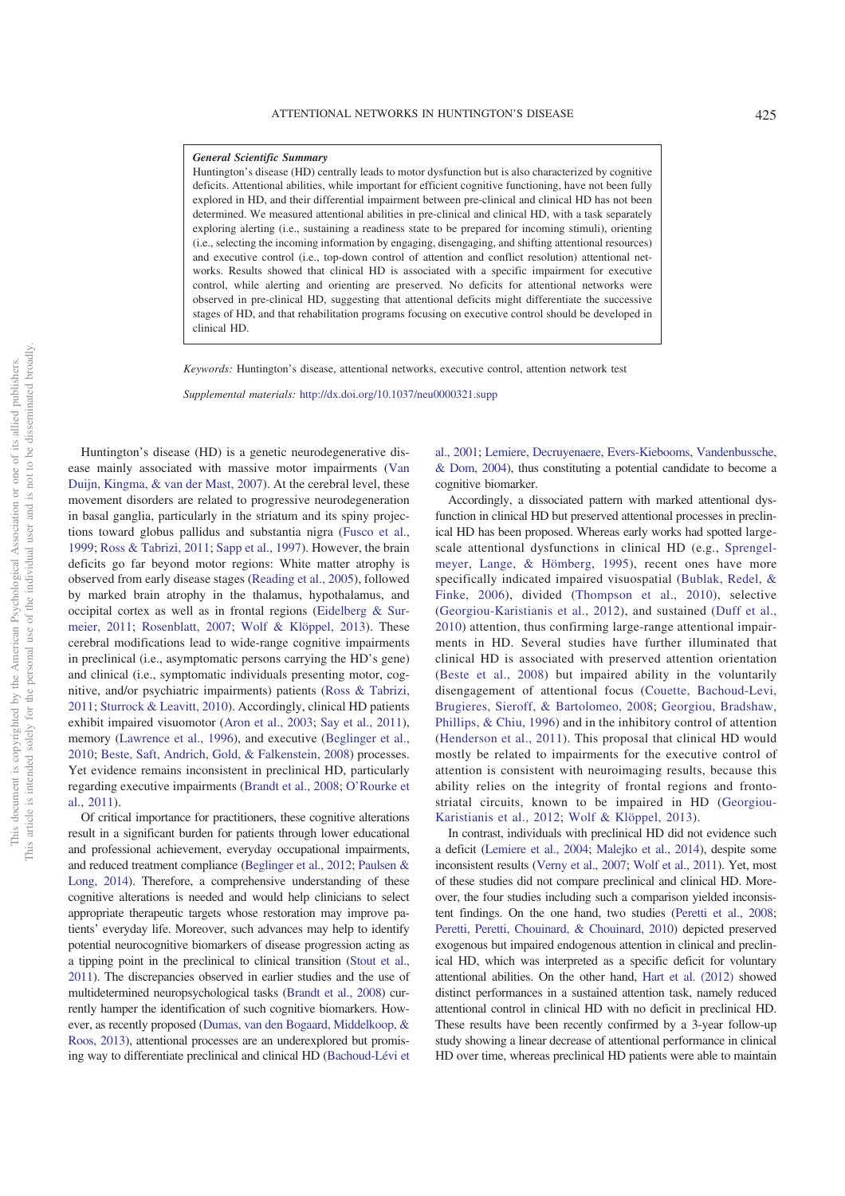#### *General Scientific Summary*

Huntington's disease (HD) centrally leads to motor dysfunction but is also characterized by cognitive deficits. Attentional abilities, while important for efficient cognitive functioning, have not been fully explored in HD, and their differential impairment between pre-clinical and clinical HD has not been determined. We measured attentional abilities in pre-clinical and clinical HD, with a task separately exploring alerting (i.e., sustaining a readiness state to be prepared for incoming stimuli), orienting (i.e., selecting the incoming information by engaging, disengaging, and shifting attentional resources) and executive control (i.e., top-down control of attention and conflict resolution) attentional networks. Results showed that clinical HD is associated with a specific impairment for executive control, while alerting and orienting are preserved. No deficits for attentional networks were observed in pre-clinical HD, suggesting that attentional deficits might differentiate the successive stages of HD, and that rehabilitation programs focusing on executive control should be developed in clinical HD.

*Keywords:* Huntington's disease, attentional networks, executive control, attention network test

*Supplemental materials:* http://dx.doi.org/10.1037/neu0000321.supp

Huntington's disease (HD) is a genetic neurodegenerative disease mainly associated with massive motor impairments (Van Duijn, Kingma, & van der Mast, 2007). At the cerebral level, these movement disorders are related to progressive neurodegeneration in basal ganglia, particularly in the striatum and its spiny projections toward globus pallidus and substantia nigra (Fusco et al., 1999; Ross & Tabrizi, 2011; Sapp et al., 1997). However, the brain deficits go far beyond motor regions: White matter atrophy is observed from early disease stages (Reading et al., 2005), followed by marked brain atrophy in the thalamus, hypothalamus, and occipital cortex as well as in frontal regions (Eidelberg & Surmeier, 2011; Rosenblatt, 2007; Wolf & Klöppel, 2013). These cerebral modifications lead to wide-range cognitive impairments in preclinical (i.e., asymptomatic persons carrying the HD's gene) and clinical (i.e., symptomatic individuals presenting motor, cognitive, and/or psychiatric impairments) patients (Ross & Tabrizi, 2011; Sturrock & Leavitt, 2010). Accordingly, clinical HD patients exhibit impaired visuomotor (Aron et al., 2003; Say et al., 2011), memory (Lawrence et al., 1996), and executive (Beglinger et al., 2010; Beste, Saft, Andrich, Gold, & Falkenstein, 2008) processes. Yet evidence remains inconsistent in preclinical HD, particularly regarding executive impairments (Brandt et al., 2008; O'Rourke et al., 2011).

Of critical importance for practitioners, these cognitive alterations result in a significant burden for patients through lower educational and professional achievement, everyday occupational impairments, and reduced treatment compliance (Beglinger et al., 2012; Paulsen & Long, 2014). Therefore, a comprehensive understanding of these cognitive alterations is needed and would help clinicians to select appropriate therapeutic targets whose restoration may improve patients' everyday life. Moreover, such advances may help to identify potential neurocognitive biomarkers of disease progression acting as a tipping point in the preclinical to clinical transition (Stout et al., 2011). The discrepancies observed in earlier studies and the use of multidetermined neuropsychological tasks (Brandt et al., 2008) currently hamper the identification of such cognitive biomarkers. However, as recently proposed (Dumas, van den Bogaard, Middelkoop, & Roos, 2013), attentional processes are an underexplored but promising way to differentiate preclinical and clinical HD (Bachoud-Lévi et al., 2001; Lemiere, Decruyenaere, Evers-Kiebooms, Vandenbussche, & Dom, 2004), thus constituting a potential candidate to become a cognitive biomarker.

Accordingly, a dissociated pattern with marked attentional dysfunction in clinical HD but preserved attentional processes in preclinical HD has been proposed. Whereas early works had spotted largescale attentional dysfunctions in clinical HD (e.g., Sprengelmeyer, Lange, & Hömberg, 1995), recent ones have more specifically indicated impaired visuospatial (Bublak, Redel, & Finke, 2006), divided (Thompson et al., 2010), selective (Georgiou-Karistianis et al., 2012), and sustained (Duff et al., 2010) attention, thus confirming large-range attentional impairments in HD. Several studies have further illuminated that clinical HD is associated with preserved attention orientation (Beste et al., 2008) but impaired ability in the voluntarily disengagement of attentional focus (Couette, Bachoud-Levi, Brugieres, Sieroff, & Bartolomeo, 2008; Georgiou, Bradshaw, Phillips, & Chiu, 1996) and in the inhibitory control of attention (Henderson et al., 2011). This proposal that clinical HD would mostly be related to impairments for the executive control of attention is consistent with neuroimaging results, because this ability relies on the integrity of frontal regions and frontostriatal circuits, known to be impaired in HD (Georgiou-Karistianis et al., 2012; Wolf & Klöppel, 2013).

In contrast, individuals with preclinical HD did not evidence such a deficit (Lemiere et al., 2004; Malejko et al., 2014), despite some inconsistent results (Verny et al., 2007; Wolf et al., 2011). Yet, most of these studies did not compare preclinical and clinical HD. Moreover, the four studies including such a comparison yielded inconsistent findings. On the one hand, two studies (Peretti et al., 2008; Peretti, Peretti, Chouinard, & Chouinard, 2010) depicted preserved exogenous but impaired endogenous attention in clinical and preclinical HD, which was interpreted as a specific deficit for voluntary attentional abilities. On the other hand, Hart et al. (2012) showed distinct performances in a sustained attention task, namely reduced attentional control in clinical HD with no deficit in preclinical HD. These results have been recently confirmed by a 3-year follow-up study showing a linear decrease of attentional performance in clinical HD over time, whereas preclinical HD patients were able to maintain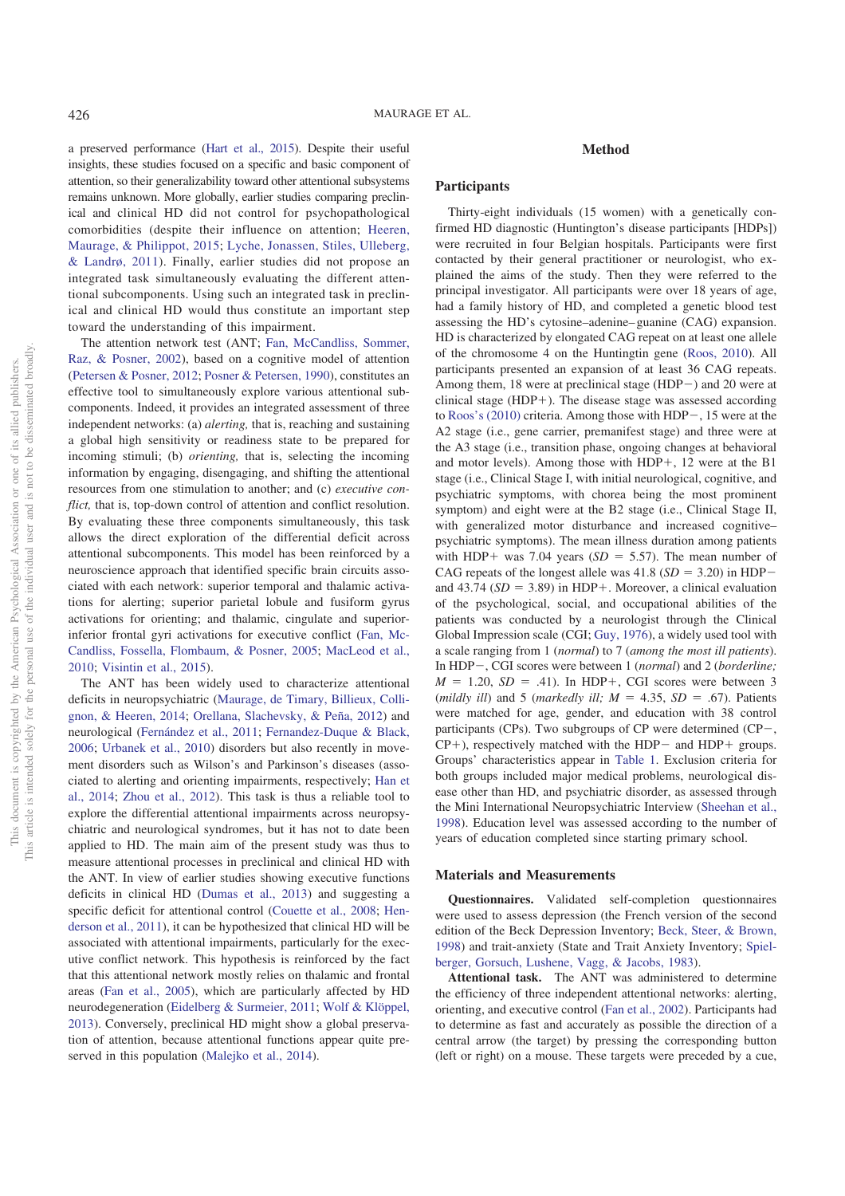a preserved performance (Hart et al., 2015). Despite their useful insights, these studies focused on a specific and basic component of attention, so their generalizability toward other attentional subsystems remains unknown. More globally, earlier studies comparing preclinical and clinical HD did not control for psychopathological comorbidities (despite their influence on attention; Heeren, Maurage, & Philippot, 2015; Lyche, Jonassen, Stiles, Ulleberg, & Landrø, 2011). Finally, earlier studies did not propose an integrated task simultaneously evaluating the different attentional subcomponents. Using such an integrated task in preclinical and clinical HD would thus constitute an important step toward the understanding of this impairment.

The attention network test (ANT; Fan, McCandliss, Sommer, Raz, & Posner, 2002), based on a cognitive model of attention (Petersen & Posner, 2012; Posner & Petersen, 1990), constitutes an effective tool to simultaneously explore various attentional subcomponents. Indeed, it provides an integrated assessment of three independent networks: (a) *alerting,* that is, reaching and sustaining a global high sensitivity or readiness state to be prepared for incoming stimuli; (b) *orienting,* that is, selecting the incoming information by engaging, disengaging, and shifting the attentional resources from one stimulation to another; and (c) *executive conflict*, that is, top-down control of attention and conflict resolution. By evaluating these three components simultaneously, this task allows the direct exploration of the differential deficit across attentional subcomponents. This model has been reinforced by a neuroscience approach that identified specific brain circuits associated with each network: superior temporal and thalamic activations for alerting; superior parietal lobule and fusiform gyrus activations for orienting; and thalamic, cingulate and superiorinferior frontal gyri activations for executive conflict (Fan, Mc-Candliss, Fossella, Flombaum, & Posner, 2005; MacLeod et al., 2010; Visintin et al., 2015).

The ANT has been widely used to characterize attentional deficits in neuropsychiatric (Maurage, de Timary, Billieux, Collignon, & Heeren, 2014; Orellana, Slachevsky, & Peña, 2012) and neurological (Fernández et al., 2011; Fernandez-Duque & Black, 2006; Urbanek et al., 2010) disorders but also recently in movement disorders such as Wilson's and Parkinson's diseases (associated to alerting and orienting impairments, respectively; Han et al., 2014; Zhou et al., 2012). This task is thus a reliable tool to explore the differential attentional impairments across neuropsychiatric and neurological syndromes, but it has not to date been applied to HD. The main aim of the present study was thus to measure attentional processes in preclinical and clinical HD with the ANT. In view of earlier studies showing executive functions deficits in clinical HD (Dumas et al., 2013) and suggesting a specific deficit for attentional control (Couette et al., 2008; Henderson et al., 2011), it can be hypothesized that clinical HD will be associated with attentional impairments, particularly for the executive conflict network. This hypothesis is reinforced by the fact that this attentional network mostly relies on thalamic and frontal areas (Fan et al., 2005), which are particularly affected by HD neurodegeneration (Eidelberg & Surmeier, 2011; Wolf & Klöppel, 2013). Conversely, preclinical HD might show a global preservation of attention, because attentional functions appear quite preserved in this population (Malejko et al., 2014).

#### **Method**

# **Participants**

Thirty-eight individuals (15 women) with a genetically confirmed HD diagnostic (Huntington's disease participants [HDPs]) were recruited in four Belgian hospitals. Participants were first contacted by their general practitioner or neurologist, who explained the aims of the study. Then they were referred to the principal investigator. All participants were over 18 years of age, had a family history of HD, and completed a genetic blood test assessing the HD's cytosine–adenine– guanine (CAG) expansion. HD is characterized by elongated CAG repeat on at least one allele of the chromosome 4 on the Huntingtin gene (Roos, 2010). All participants presented an expansion of at least 36 CAG repeats. Among them, 18 were at preclinical stage  $(HDP-)$  and 20 were at clinical stage  $(HDP+)$ . The disease stage was assessed according to Roos's (2010) criteria. Among those with HDP $-$ , 15 were at the A2 stage (i.e., gene carrier, premanifest stage) and three were at the A3 stage (i.e., transition phase, ongoing changes at behavioral and motor levels). Among those with  $HDP+$ , 12 were at the B1 stage (i.e., Clinical Stage I, with initial neurological, cognitive, and psychiatric symptoms, with chorea being the most prominent symptom) and eight were at the B2 stage (i.e., Clinical Stage II, with generalized motor disturbance and increased cognitive– psychiatric symptoms). The mean illness duration among patients with HDP+ was 7.04 years ( $SD = 5.57$ ). The mean number of CAG repeats of the longest allele was  $41.8$  (*SD* = 3.20) in HDPand  $43.74$  (*SD* = 3.89) in HDP+. Moreover, a clinical evaluation of the psychological, social, and occupational abilities of the patients was conducted by a neurologist through the Clinical Global Impression scale (CGI; Guy, 1976), a widely used tool with a scale ranging from 1 (*normal*) to 7 (*among the most ill patients*). In HDP-, CGI scores were between 1 *(normal)* and 2 *(borderline;*  $M = 1.20$ ,  $SD = .41$ ). In HDP+, CGI scores were between 3 (*mildly ill*) and 5 (*markedly ill*;  $M = 4.35$ ,  $SD = .67$ ). Patients were matched for age, gender, and education with 38 control participants (CPs). Two subgroups of CP were determined (CP $-$ ,  $CP+$ ), respectively matched with the HDP- and HDP+ groups. Groups' characteristics appear in Table 1. Exclusion criteria for both groups included major medical problems, neurological disease other than HD, and psychiatric disorder, as assessed through the Mini International Neuropsychiatric Interview (Sheehan et al., 1998). Education level was assessed according to the number of years of education completed since starting primary school.

## **Materials and Measurements**

**Questionnaires.** Validated self-completion questionnaires were used to assess depression (the French version of the second edition of the Beck Depression Inventory; Beck, Steer, & Brown, 1998) and trait-anxiety (State and Trait Anxiety Inventory; Spielberger, Gorsuch, Lushene, Vagg, & Jacobs, 1983).

**Attentional task.** The ANT was administered to determine the efficiency of three independent attentional networks: alerting, orienting, and executive control (Fan et al., 2002). Participants had to determine as fast and accurately as possible the direction of a central arrow (the target) by pressing the corresponding button (left or right) on a mouse. These targets were preceded by a cue,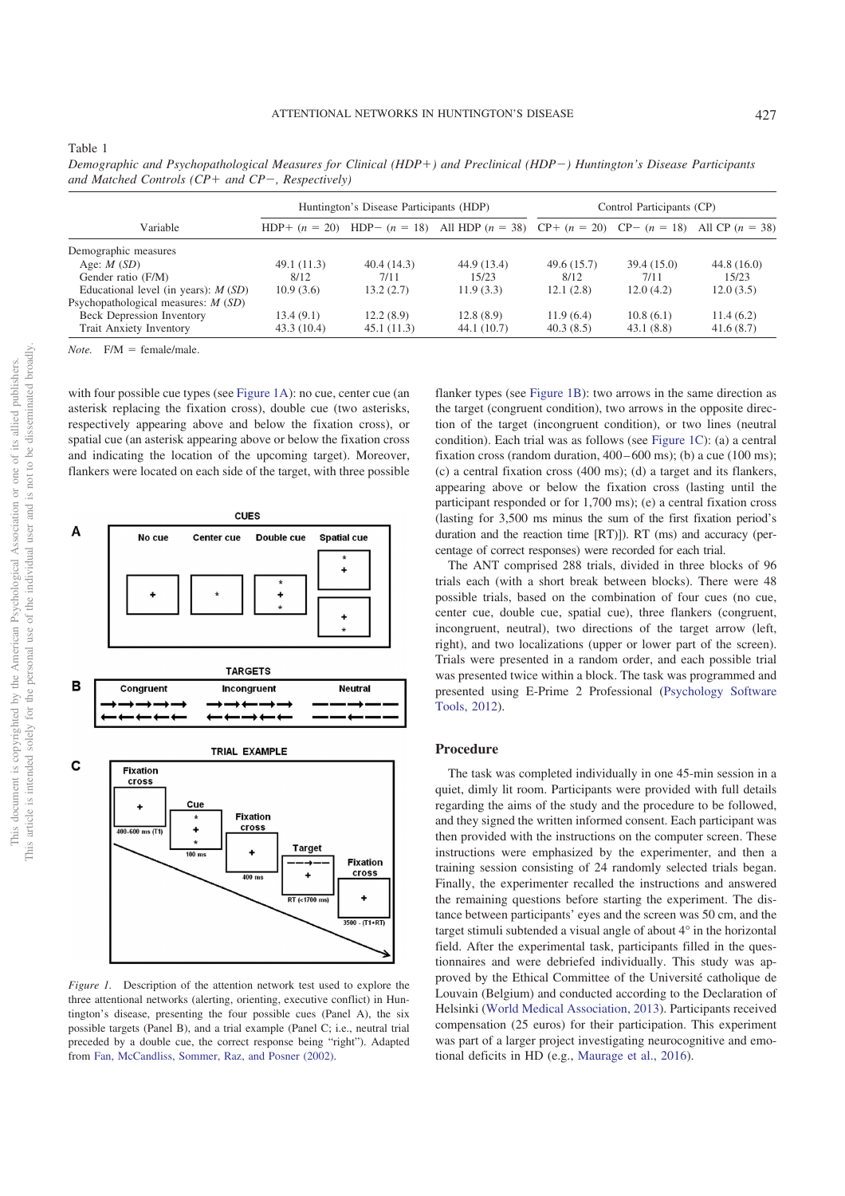| $\frac{1}{2}$                         |                                         |             |                                                                                                    |                           |            |            |  |  |  |  |
|---------------------------------------|-----------------------------------------|-------------|----------------------------------------------------------------------------------------------------|---------------------------|------------|------------|--|--|--|--|
|                                       | Huntington's Disease Participants (HDP) |             |                                                                                                    | Control Participants (CP) |            |            |  |  |  |  |
| Variable                              |                                         |             | HDP+ $(n = 20)$ HDP- $(n = 18)$ All HDP $(n = 38)$ CP+ $(n = 20)$ CP- $(n = 18)$ All CP $(n = 38)$ |                           |            |            |  |  |  |  |
| Demographic measures                  |                                         |             |                                                                                                    |                           |            |            |  |  |  |  |
| Age: $M(SD)$                          | 49.1(11.3)                              | 40.4(14.3)  | 44.9 (13.4)                                                                                        | 49.6(15.7)                | 39.4(15.0) | 44.8(16.0) |  |  |  |  |
| Gender ratio (F/M)                    | 8/12                                    | 7/11        | 15/23                                                                                              | 8/12                      | 7/11       | 15/23      |  |  |  |  |
| Educational level (in years): $M(SD)$ | 10.9(3.6)                               | 13.2(2.7)   | 11.9(3.3)                                                                                          | 12.1(2.8)                 | 12.0(4.2)  | 12.0(3.5)  |  |  |  |  |
| Psychopathological measures: $M(SD)$  |                                         |             |                                                                                                    |                           |            |            |  |  |  |  |
| Beck Depression Inventory             | 13.4(9.1)                               | 12.2(8.9)   | 12.8(8.9)                                                                                          | 11.9(6.4)                 | 10.8(6.1)  | 11.4(6.2)  |  |  |  |  |
| <b>Trait Anxiety Inventory</b>        | 43.3(10.4)                              | 45.1 (11.3) | 44.1(10.7)                                                                                         | 40.3(8.5)                 | 43.1(8.8)  | 41.6(8.7)  |  |  |  |  |

*Demographic and Psychopathological Measures for Clinical (HDP*"*) and Preclinical (HDP*!*) Huntington's Disease Participants and Matched Controls (CP+ and CP-, Respectively)* 

*Note.*  $F/M = \text{female/male}.$ 

Table 1

with four possible cue types (see Figure 1A): no cue, center cue (an asterisk replacing the fixation cross), double cue (two asterisks, respectively appearing above and below the fixation cross), or spatial cue (an asterisk appearing above or below the fixation cross and indicating the location of the upcoming target). Moreover, flankers were located on each side of the target, with three possible



*Figure 1.* Description of the attention network test used to explore the three attentional networks (alerting, orienting, executive conflict) in Huntington's disease, presenting the four possible cues (Panel A), the six possible targets (Panel B), and a trial example (Panel C; i.e., neutral trial preceded by a double cue, the correct response being "right"). Adapted from Fan, McCandliss, Sommer, Raz, and Posner (2002).

flanker types (see Figure 1B): two arrows in the same direction as the target (congruent condition), two arrows in the opposite direction of the target (incongruent condition), or two lines (neutral condition). Each trial was as follows (see Figure 1C): (a) a central fixation cross (random duration,  $400 - 600$  ms); (b) a cue (100 ms); (c) a central fixation cross (400 ms); (d) a target and its flankers, appearing above or below the fixation cross (lasting until the participant responded or for 1,700 ms); (e) a central fixation cross (lasting for 3,500 ms minus the sum of the first fixation period's duration and the reaction time [RT)]). RT (ms) and accuracy (percentage of correct responses) were recorded for each trial.

The ANT comprised 288 trials, divided in three blocks of 96 trials each (with a short break between blocks). There were 48 possible trials, based on the combination of four cues (no cue, center cue, double cue, spatial cue), three flankers (congruent, incongruent, neutral), two directions of the target arrow (left, right), and two localizations (upper or lower part of the screen). Trials were presented in a random order, and each possible trial was presented twice within a block. The task was programmed and presented using E-Prime 2 Professional (Psychology Software Tools, 2012).

#### **Procedure**

The task was completed individually in one 45-min session in a quiet, dimly lit room. Participants were provided with full details regarding the aims of the study and the procedure to be followed, and they signed the written informed consent. Each participant was then provided with the instructions on the computer screen. These instructions were emphasized by the experimenter, and then a training session consisting of 24 randomly selected trials began. Finally, the experimenter recalled the instructions and answered the remaining questions before starting the experiment. The distance between participants' eyes and the screen was 50 cm, and the target stimuli subtended a visual angle of about 4° in the horizontal field. After the experimental task, participants filled in the questionnaires and were debriefed individually. This study was approved by the Ethical Committee of the Université catholique de Louvain (Belgium) and conducted according to the Declaration of Helsinki (World Medical Association, 2013). Participants received compensation (25 euros) for their participation. This experiment was part of a larger project investigating neurocognitive and emotional deficits in HD (e.g., Maurage et al., 2016).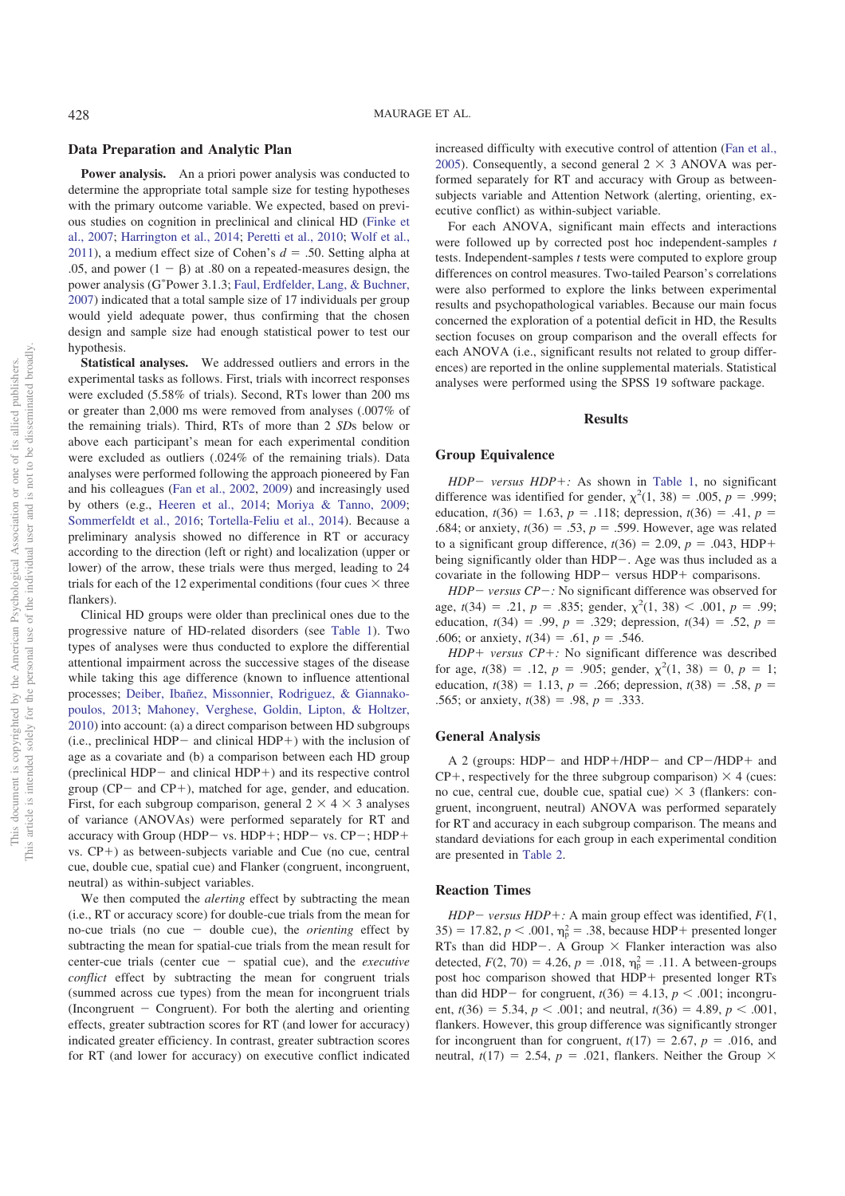#### **Data Preparation and Analytic Plan**

**Power analysis.** An a priori power analysis was conducted to determine the appropriate total sample size for testing hypotheses with the primary outcome variable. We expected, based on previous studies on cognition in preclinical and clinical HD (Finke et al., 2007; Harrington et al., 2014; Peretti et al., 2010; Wolf et al., 2011), a medium effect size of Cohen's  $d = .50$ . Setting alpha at .05, and power  $(1 - \beta)$  at .80 on a repeated-measures design, the power analysis (G! Power 3.1.3; Faul, Erdfelder, Lang, & Buchner, 2007) indicated that a total sample size of 17 individuals per group would yield adequate power, thus confirming that the chosen design and sample size had enough statistical power to test our hypothesis.

**Statistical analyses.** We addressed outliers and errors in the experimental tasks as follows. First, trials with incorrect responses were excluded (5.58% of trials). Second, RTs lower than 200 ms or greater than 2,000 ms were removed from analyses (.007% of the remaining trials). Third, RTs of more than 2 *SD*s below or above each participant's mean for each experimental condition were excluded as outliers (.024% of the remaining trials). Data analyses were performed following the approach pioneered by Fan and his colleagues (Fan et al., 2002, 2009) and increasingly used by others (e.g., Heeren et al., 2014; Moriya & Tanno, 2009; Sommerfeldt et al., 2016; Tortella-Feliu et al., 2014). Because a preliminary analysis showed no difference in RT or accuracy according to the direction (left or right) and localization (upper or lower) of the arrow, these trials were thus merged, leading to 24 trials for each of the 12 experimental conditions (four cues  $\times$  three flankers).

Clinical HD groups were older than preclinical ones due to the progressive nature of HD-related disorders (see Table 1). Two types of analyses were thus conducted to explore the differential attentional impairment across the successive stages of the disease while taking this age difference (known to influence attentional processes; Deiber, Ibañez, Missonnier, Rodriguez, & Giannakopoulos, 2013; Mahoney, Verghese, Goldin, Lipton, & Holtzer, 2010) into account: (a) a direct comparison between HD subgroups (i.e., preclinical HDP $-$  and clinical HDP $+$ ) with the inclusion of age as a covariate and (b) a comparison between each HD group (preclinical  $HDP-$  and clinical  $HDP+$ ) and its respective control group ( $CP-$  and  $CP+$ ), matched for age, gender, and education. First, for each subgroup comparison, general  $2 \times 4 \times 3$  analyses of variance (ANOVAs) were performed separately for RT and accuracy with Group (HDP- vs. HDP+; HDP- vs.  $CP-$ ; HDP+  $vs.$  CP+) as between-subjects variable and Cue (no cue, central cue, double cue, spatial cue) and Flanker (congruent, incongruent, neutral) as within-subject variables.

We then computed the *alerting* effect by subtracting the mean (i.e., RT or accuracy score) for double-cue trials from the mean for no-cue trials (no cue  $-$  double cue), the *orienting* effect by subtracting the mean for spatial-cue trials from the mean result for center-cue trials (center cue - spatial cue), and the *executive conflict* effect by subtracting the mean for congruent trials (summed across cue types) from the mean for incongruent trials  $(Incongruent - Congruent)$ . For both the alerting and orienting effects, greater subtraction scores for RT (and lower for accuracy) indicated greater efficiency. In contrast, greater subtraction scores for RT (and lower for accuracy) on executive conflict indicated increased difficulty with executive control of attention (Fan et al., 2005). Consequently, a second general  $2 \times 3$  ANOVA was performed separately for RT and accuracy with Group as betweensubjects variable and Attention Network (alerting, orienting, executive conflict) as within-subject variable.

For each ANOVA, significant main effects and interactions were followed up by corrected post hoc independent-samples *t* tests. Independent-samples *t* tests were computed to explore group differences on control measures. Two-tailed Pearson's correlations were also performed to explore the links between experimental results and psychopathological variables. Because our main focus concerned the exploration of a potential deficit in HD, the Results section focuses on group comparison and the overall effects for each ANOVA (i.e., significant results not related to group differences) are reported in the online supplemental materials. Statistical analyses were performed using the SPSS 19 software package.

#### **Results**

## **Group Equivalence**

*HDP- versus HDP+:* As shown in Table 1, no significant difference was identified for gender,  $\chi^2(1, 38) = .005$ ,  $p = .999$ ; education,  $t(36) = 1.63$ ,  $p = .118$ ; depression,  $t(36) = .41$ ,  $p =$ .684; or anxiety,  $t(36) = .53$ ,  $p = .599$ . However, age was related to a significant group difference,  $t(36) = 2.09$ ,  $p = .043$ , HDP+ being significantly older than HDP-. Age was thus included as a covariate in the following HDP $-$  versus HDP $+$  comparisons.

 $HDP - versus CP -$ : No significant difference was observed for age,  $t(34) = .21$ ,  $p = .835$ ; gender,  $\chi^2(1, 38) < .001$ ,  $p = .99$ ; education,  $t(34) = .99$ ,  $p = .329$ ; depression,  $t(34) = .52$ ,  $p =$ .606; or anxiety,  $t(34) = .61$ ,  $p = .546$ .

 $HDP + versus CP +$ : No significant difference was described for age,  $t(38) = .12$ ,  $p = .905$ ; gender,  $\chi^2(1, 38) = 0$ ,  $p = 1$ ; education,  $t(38) = 1.13$ ,  $p = .266$ ; depression,  $t(38) = .58$ ,  $p =$ .565; or anxiety,  $t(38) = .98$ ,  $p = .333$ .

## **General Analysis**

A 2 (groups: HDP- and HDP+/HDP- and  $CP$ -/HDP+ and  $CP+$ , respectively for the three subgroup comparison)  $\times$  4 (cues: no cue, central cue, double cue, spatial cue)  $\times$  3 (flankers: congruent, incongruent, neutral) ANOVA was performed separately for RT and accuracy in each subgroup comparison. The means and standard deviations for each group in each experimental condition are presented in Table 2.

# **Reaction Times**

*HDP* – *versus HDP* + *:* A main group effect was identified,  $F(1, 1)$  $35) = 17.82, p < .001, \eta_p^2 = .38$ , because HDP+ presented longer RTs than did HDP-. A Group  $\times$  Flanker interaction was also detected,  $F(2, 70) = 4.26$ ,  $p = .018$ ,  $\eta_p^2 = .11$ . A between-groups post hoc comparison showed that HDP+ presented longer RTs than did HDP- for congruent,  $t(36) = 4.13$ ,  $p < .001$ ; incongruent,  $t(36) = 5.34$ ,  $p < .001$ ; and neutral,  $t(36) = 4.89$ ,  $p < .001$ , flankers. However, this group difference was significantly stronger for incongruent than for congruent,  $t(17) = 2.67$ ,  $p = .016$ , and neutral,  $t(17) = 2.54$ ,  $p = .021$ , flankers. Neither the Group  $\times$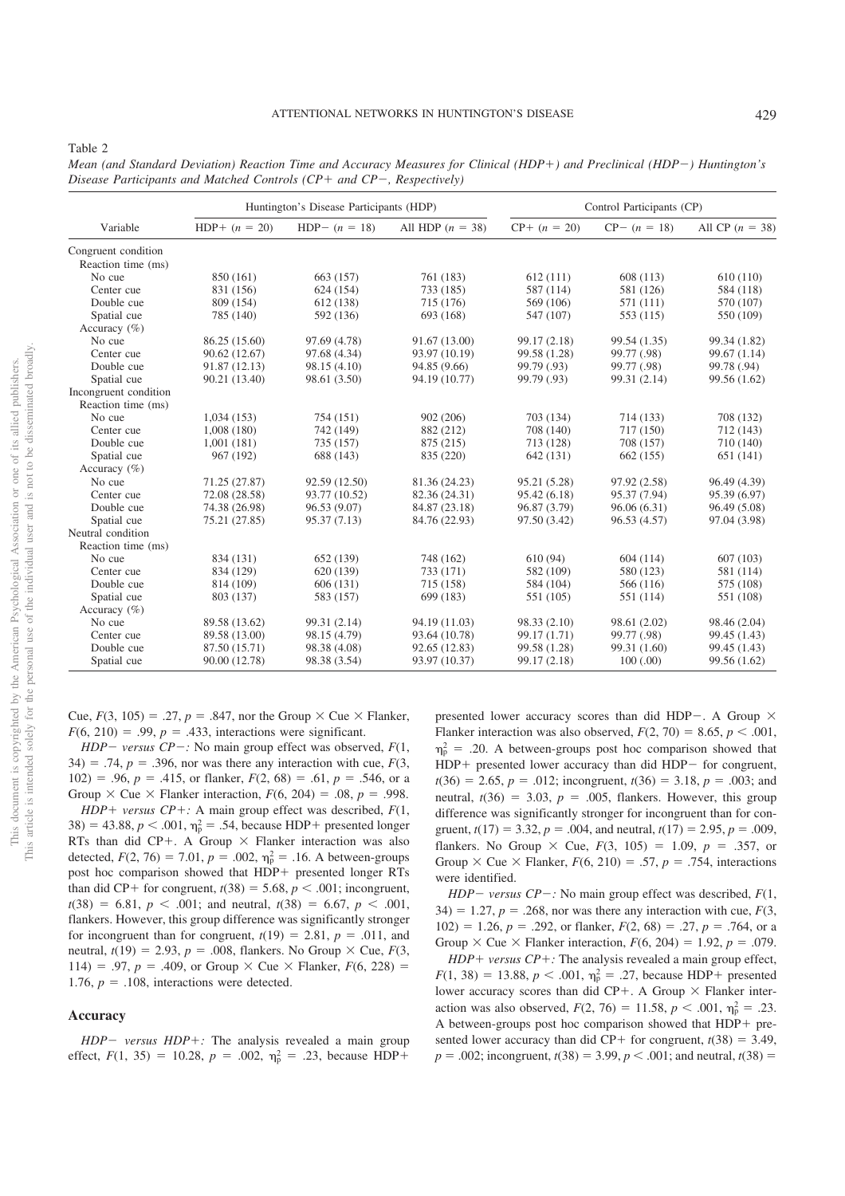| Variable              |                 | Huntington's Disease Participants (HDP) |                    | Control Participants (CP) |                 |                   |
|-----------------------|-----------------|-----------------------------------------|--------------------|---------------------------|-----------------|-------------------|
|                       | $HDP+ (n = 20)$ | HDP- $(n = 18)$                         | All HDP $(n = 38)$ | $CP+ (n = 20)$            | $CP - (n = 18)$ | All CP $(n = 38)$ |
| Congruent condition   |                 |                                         |                    |                           |                 |                   |
| Reaction time (ms)    |                 |                                         |                    |                           |                 |                   |
| No cue                | 850 (161)       | 663 (157)                               | 761 (183)          | 612(111)                  | 608 (113)       | 610(110)          |
| Center cue            | 831 (156)       | 624 (154)                               | 733 (185)          | 587 (114)                 | 581 (126)       | 584 (118)         |
| Double cue            | 809 (154)       | 612 (138)                               | 715 (176)          | 569 (106)                 | 571 (111)       | 570 (107)         |
| Spatial cue           | 785 (140)       | 592 (136)                               | 693 (168)          | 547 (107)                 | 553 (115)       | 550 (109)         |
| Accuracy $(\% )$      |                 |                                         |                    |                           |                 |                   |
| No cue                | 86.25 (15.60)   | 97.69 (4.78)                            | 91.67 (13.00)      | 99.17 (2.18)              | 99.54 (1.35)    | 99.34 (1.82)      |
| Center cue            | 90.62 (12.67)   | 97.68 (4.34)                            | 93.97 (10.19)      | 99.58 (1.28)              | 99.77 (.98)     | 99.67 (1.14)      |
| Double cue            | 91.87 (12.13)   | 98.15 (4.10)                            | 94.85 (9.66)       | 99.79 (.93)               | 99.77 (.98)     | 99.78 (.94)       |
| Spatial cue           | 90.21 (13.40)   | 98.61 (3.50)                            | 94.19 (10.77)      | 99.79 (.93)               | 99.31 (2.14)    | 99.56 (1.62)      |
| Incongruent condition |                 |                                         |                    |                           |                 |                   |
| Reaction time (ms)    |                 |                                         |                    |                           |                 |                   |
| No cue                | 1,034(153)      | 754 (151)                               | 902 (206)          | 703 (134)                 | 714 (133)       | 708 (132)         |
| Center cue            | 1,008(180)      | 742 (149)                               | 882 (212)          | 708 (140)                 | 717 (150)       | 712 (143)         |
| Double cue            | 1,001(181)      | 735 (157)                               | 875 (215)          | 713 (128)                 | 708 (157)       | 710 (140)         |
| Spatial cue           | 967 (192)       | 688 (143)                               | 835 (220)          | 642 (131)                 | 662 (155)       | 651 (141)         |
| Accuracy $(\% )$      |                 |                                         |                    |                           |                 |                   |
| No cue                | 71.25 (27.87)   | 92.59 (12.50)                           | 81.36 (24.23)      | 95.21 (5.28)              | 97.92 (2.58)    | 96.49 (4.39)      |
| Center cue            | 72.08 (28.58)   | 93.77 (10.52)                           | 82.36 (24.31)      | 95.42(6.18)               | 95.37 (7.94)    | 95.39 (6.97)      |
| Double cue            | 74.38 (26.98)   | 96.53 (9.07)                            | 84.87 (23.18)      | 96.87 (3.79)              | 96.06(6.31)     | 96.49 (5.08)      |
| Spatial cue           | 75.21 (27.85)   | 95.37 (7.13)                            | 84.76 (22.93)      | 97.50 (3.42)              | 96.53 (4.57)    | 97.04 (3.98)      |
| Neutral condition     |                 |                                         |                    |                           |                 |                   |
| Reaction time (ms)    |                 |                                         |                    |                           |                 |                   |
| No cue                | 834 (131)       | 652 (139)                               | 748 (162)          | 610(94)                   | 604(114)        | 607(103)          |
| Center cue            | 834 (129)       | 620 (139)                               | 733 (171)          | 582 (109)                 | 580 (123)       | 581 (114)         |
| Double cue            | 814 (109)       | 606 (131)                               | 715 (158)          | 584 (104)                 | 566 (116)       | 575 (108)         |
| Spatial cue           | 803 (137)       | 583 (157)                               | 699 (183)          | 551 (105)                 | 551 (114)       | 551 (108)         |
| Accuracy $(\% )$      |                 |                                         |                    |                           |                 |                   |
| No cue                | 89.58 (13.62)   | 99.31 (2.14)                            | 94.19 (11.03)      | 98.33 (2.10)              | 98.61 (2.02)    | 98.46 (2.04)      |
| Center cue            | 89.58 (13.00)   | 98.15 (4.79)                            | 93.64 (10.78)      | 99.17 (1.71)              | 99.77 (.98)     | 99.45 (1.43)      |
| Double cue            | 87.50 (15.71)   | 98.38 (4.08)                            | 92.65 (12.83)      | 99.58 (1.28)              | 99.31 (1.60)    | 99.45 (1.43)      |
| Spatial cue           | 90.00 (12.78)   | 98.38 (3.54)                            | 93.97 (10.37)      | 99.17 (2.18)              | 100(.00)        | 99.56 (1.62)      |

*Mean (and Standard Deviation) Reaction Time and Accuracy Measures for Clinical (HDP+) and Preclinical (HDP-) Huntington's Disease Participants and Matched Controls (CP+ and CP-, Respectively)* 

Cue,  $F(3, 105) = .27$ ,  $p = .847$ , nor the Group  $\times$  Cue  $\times$  Flanker,  $F(6, 210) = .99$ ,  $p = .433$ , interactions were significant.

*HDP* – *versus CP* – *:* No main group effect was observed,  $F(1, 1)$  $34$ ) = .74,  $p = .396$ , nor was there any interaction with cue,  $F(3)$ , 102) = .96,  $p = .415$ , or flanker,  $F(2, 68) = .61$ ,  $p = .546$ , or a Group  $\times$  Cue  $\times$  Flanker interaction,  $F(6, 204) = .08$ ,  $p = .998$ .

*HDP* + *versus CP* + *:* A main group effect was described,  $F(1,$  $38$ ) = 43.88,  $p < .001$ ,  $\eta_p^2 = .54$ , because HDP+ presented longer RTs than did CP+. A Group  $\times$  Flanker interaction was also detected,  $F(2, 76) = 7.01$ ,  $p = .002$ ,  $\eta_p^2 = .16$ . A between-groups post hoc comparison showed that HDP+ presented longer RTs than did CP+ for congruent,  $t(38) = 5.68$ ,  $p < .001$ ; incongruent,  $t(38) = 6.81, p < .001$ ; and neutral,  $t(38) = 6.67, p < .001$ , flankers. However, this group difference was significantly stronger for incongruent than for congruent,  $t(19) = 2.81$ ,  $p = .011$ , and neutral,  $t(19) = 2.93$ ,  $p = .008$ , flankers. No Group  $\times$  Cue,  $F(3)$ , 114) = .97,  $p = .409$ , or Group  $\times$  Cue  $\times$  Flanker,  $F(6, 228)$  = 1.76,  $p = .108$ , interactions were detected.

## **Accuracy**

 $HDP - \textit{versus } HDP +$ : The analysis revealed a main group effect,  $F(1, 35) = 10.28$ ,  $p = .002$ ,  $\eta_p^2 = .23$ , because HDP+

presented lower accuracy scores than did HDP-. A Group  $\times$ Flanker interaction was also observed,  $F(2, 70) = 8.65$ ,  $p < .001$ ,  $\eta_{\rm p}^2$  = .20. A between-groups post hoc comparison showed that  $HDP+$  presented lower accuracy than did  $HDP-$  for congruent,  $t(36) = 2.65$ ,  $p = .012$ ; incongruent,  $t(36) = 3.18$ ,  $p = .003$ ; and neutral,  $t(36) = 3.03$ ,  $p = .005$ , flankers. However, this group difference was significantly stronger for incongruent than for congruent,  $t(17) = 3.32$ ,  $p = .004$ , and neutral,  $t(17) = 2.95$ ,  $p = .009$ , flankers. No Group  $\times$  Cue,  $F(3, 105) = 1.09$ ,  $p = .357$ , or Group  $\times$  Cue  $\times$  Flanker,  $F(6, 210) = .57$ ,  $p = .754$ , interactions were identified.

*HDP* – *versus CP* – *:* No main group effect was described,  $F(1, 1)$  $34$ ) = 1.27,  $p = .268$ , nor was there any interaction with cue,  $F(3)$ , 102) = 1.26,  $p = .292$ , or flanker,  $F(2, 68) = .27$ ,  $p = .764$ , or a Group  $\times$  Cue  $\times$  Flanker interaction,  $F(6, 204) = 1.92$ ,  $p = .079$ .

 $HDP + versus CP +$ : The analysis revealed a main group effect,  $F(1, 38) = 13.88, p < .001, \eta_p^2 = .27$ , because HDP+ presented lower accuracy scores than did CP+. A Group  $\times$  Flanker interaction was also observed,  $F(2, 76) = 11.58$ ,  $p < .001$ ,  $\eta_p^2 = .23$ . A between-groups post hoc comparison showed that  $HDP + pre$ sented lower accuracy than did CP+ for congruent,  $t(38) = 3.49$ ,  $p = .002$ ; incongruent,  $t(38) = 3.99$ ,  $p < .001$ ; and neutral,  $t(38) =$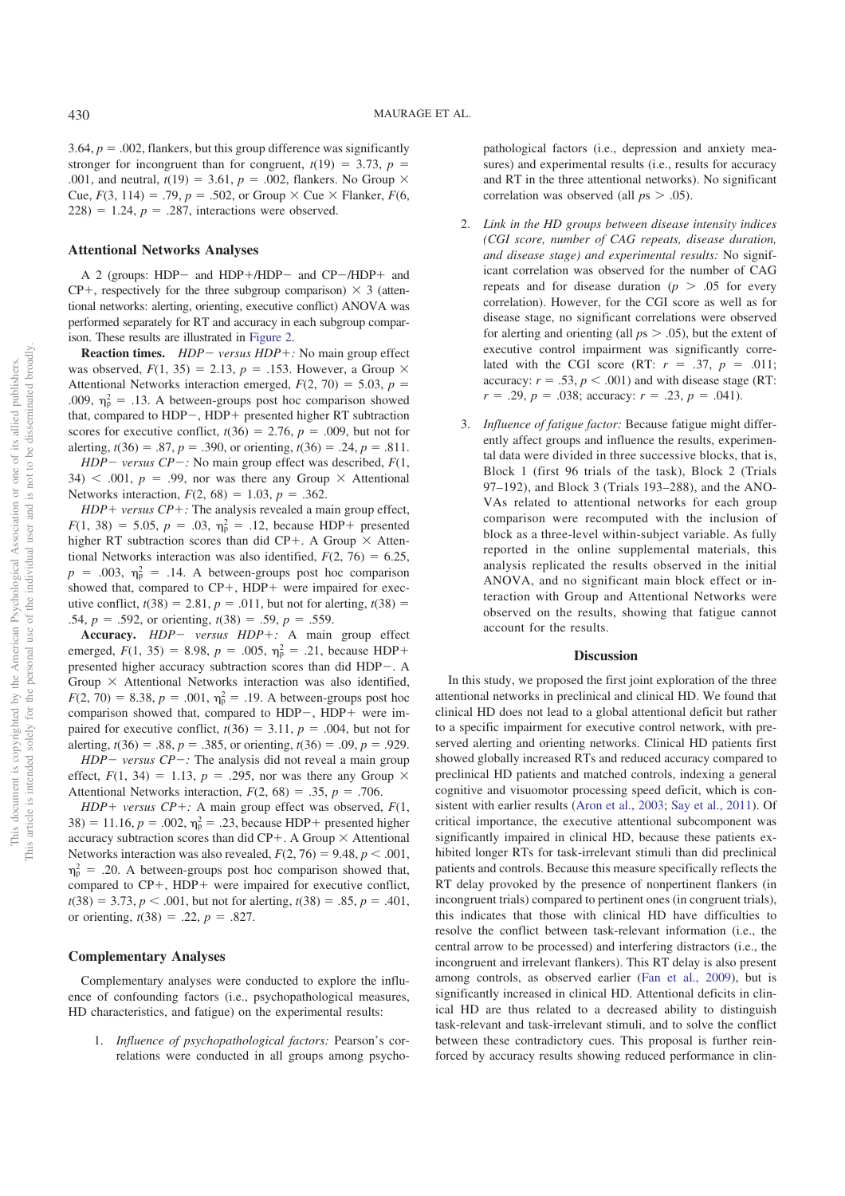3.64,  $p = .002$ , flankers, but this group difference was significantly stronger for incongruent than for congruent,  $t(19) = 3.73$ ,  $p =$ .001, and neutral,  $t(19) = 3.61$ ,  $p = .002$ , flankers. No Group  $\times$ Cue,  $F(3, 114) = .79$ ,  $p = .502$ , or Group  $\times$  Cue  $\times$  Flanker,  $F(6, 114) = .79$  $228$ ) = 1.24,  $p = .287$ , interactions were observed.

#### **Attentional Networks Analyses**

A 2 (groups: HDP- and HDP+/HDP- and  $CP$ -/HDP+ and  $CP+$ , respectively for the three subgroup comparison)  $\times$  3 (attentional networks: alerting, orienting, executive conflict) ANOVA was performed separately for RT and accuracy in each subgroup comparison. These results are illustrated in Figure 2.

**Reaction times.** *HDP* – *versus HDP* + *:* No main group effect was observed,  $F(1, 35) = 2.13$ ,  $p = .153$ . However, a Group  $\times$ Attentional Networks interaction emerged,  $F(2, 70) = 5.03$ ,  $p =$ .009,  $\eta_p^2 = .13$ . A between-groups post hoc comparison showed that, compared to  $HDP-$ ,  $HDP+$  presented higher RT subtraction scores for executive conflict,  $t(36) = 2.76$ ,  $p = .009$ , but not for alerting,  $t(36) = .87$ ,  $p = .390$ , or orienting,  $t(36) = .24$ ,  $p = .811$ .

*HDP* – *versus CP* – *:* No main group effect was described,  $F(1, 1)$  $34$ )  $\lt$  .001,  $p = .99$ , nor was there any Group  $\times$  Attentional Networks interaction,  $F(2, 68) = 1.03$ ,  $p = .362$ .

 $HDP + versus CP +$ : The analysis revealed a main group effect,  $F(1, 38) = 5.05, p = .03, \eta_p^2 = .12$ , because HDP+ presented higher RT subtraction scores than did CP+. A Group  $\times$  Attentional Networks interaction was also identified,  $F(2, 76) = 6.25$ ,  $p = .003$ ,  $\eta_p^2 = .14$ . A between-groups post hoc comparison showed that, compared to  $CP+$ , HDP+ were impaired for executive conflict,  $t(38) = 2.81$ ,  $p = .011$ , but not for alerting,  $t(38) =$ .54,  $p = .592$ , or orienting,  $t(38) = .59$ ,  $p = .559$ .

Accuracy.  $HDP - versus HDP +$ : A main group effect emerged,  $F(1, 35) = 8.98$ ,  $p = .005$ ,  $\eta_p^2 = .21$ , because HDP+ presented higher accuracy subtraction scores than did  $HDP-$ . A Group  $\times$  Attentional Networks interaction was also identified,  $F(2, 70) = 8.38, p = .001, \eta_p^2 = .19$ . A between-groups post hoc comparison showed that, compared to  $HDP-$ ,  $HDP+$  were impaired for executive conflict,  $t(36) = 3.11$ ,  $p = .004$ , but not for alerting,  $t(36) = .88$ ,  $p = .385$ , or orienting,  $t(36) = .09$ ,  $p = .929$ .

 $HDP - versus CP -$ : The analysis did not reveal a main group effect,  $F(1, 34) = 1.13$ ,  $p = .295$ , nor was there any Group  $\times$ Attentional Networks interaction,  $F(2, 68) = .35$ ,  $p = .706$ .

*HDP* + *versus CP* + *:* A main group effect was observed,  $F(1,$  $38$ ) = 11.16,  $p = .002$ ,  $\eta_p^2 = .23$ , because HDP+ presented higher accuracy subtraction scores than did CP+. A Group  $\times$  Attentional Networks interaction was also revealed,  $F(2, 76) = 9.48$ ,  $p < .001$ ,  $\eta_{\rm p}^2$  = .20. A between-groups post hoc comparison showed that, compared to  $CP+$ , HDP+ were impaired for executive conflict,  $t(38) = 3.73, p < .001$ , but not for alerting,  $t(38) = .85, p = .401$ , or orienting,  $t(38) = .22$ ,  $p = .827$ .

# **Complementary Analyses**

Complementary analyses were conducted to explore the influence of confounding factors (i.e., psychopathological measures, HD characteristics, and fatigue) on the experimental results:

1. *Influence of psychopathological factors:* Pearson's correlations were conducted in all groups among psychopathological factors (i.e., depression and anxiety measures) and experimental results (i.e., results for accuracy and RT in the three attentional networks). No significant correlation was observed (all  $ps > .05$ ).

- 2. *Link in the HD groups between disease intensity indices (CGI score, number of CAG repeats, disease duration, and disease stage) and experimental results:* No significant correlation was observed for the number of CAG repeats and for disease duration ( $p > .05$  for every correlation). However, for the CGI score as well as for disease stage, no significant correlations were observed for alerting and orienting (all  $ps > .05$ ), but the extent of executive control impairment was significantly correlated with the CGI score (RT:  $r = .37$ ,  $p = .011$ ; accuracy:  $r = .53$ ,  $p < .001$ ) and with disease stage (RT:  $r = .29$ ,  $p = .038$ ; accuracy:  $r = .23$ ,  $p = .041$ ).
- 3. *Influence of fatigue factor:* Because fatigue might differently affect groups and influence the results, experimental data were divided in three successive blocks, that is, Block 1 (first 96 trials of the task), Block 2 (Trials 97–192), and Block 3 (Trials 193–288), and the ANO-VAs related to attentional networks for each group comparison were recomputed with the inclusion of block as a three-level within-subject variable. As fully reported in the online supplemental materials, this analysis replicated the results observed in the initial ANOVA, and no significant main block effect or interaction with Group and Attentional Networks were observed on the results, showing that fatigue cannot account for the results.

#### **Discussion**

In this study, we proposed the first joint exploration of the three attentional networks in preclinical and clinical HD. We found that clinical HD does not lead to a global attentional deficit but rather to a specific impairment for executive control network, with preserved alerting and orienting networks. Clinical HD patients first showed globally increased RTs and reduced accuracy compared to preclinical HD patients and matched controls, indexing a general cognitive and visuomotor processing speed deficit, which is consistent with earlier results (Aron et al., 2003; Say et al., 2011). Of critical importance, the executive attentional subcomponent was significantly impaired in clinical HD, because these patients exhibited longer RTs for task-irrelevant stimuli than did preclinical patients and controls. Because this measure specifically reflects the RT delay provoked by the presence of nonpertinent flankers (in incongruent trials) compared to pertinent ones (in congruent trials), this indicates that those with clinical HD have difficulties to resolve the conflict between task-relevant information (i.e., the central arrow to be processed) and interfering distractors (i.e., the incongruent and irrelevant flankers). This RT delay is also present among controls, as observed earlier (Fan et al., 2009), but is significantly increased in clinical HD. Attentional deficits in clinical HD are thus related to a decreased ability to distinguish task-relevant and task-irrelevant stimuli, and to solve the conflict between these contradictory cues. This proposal is further reinforced by accuracy results showing reduced performance in clin-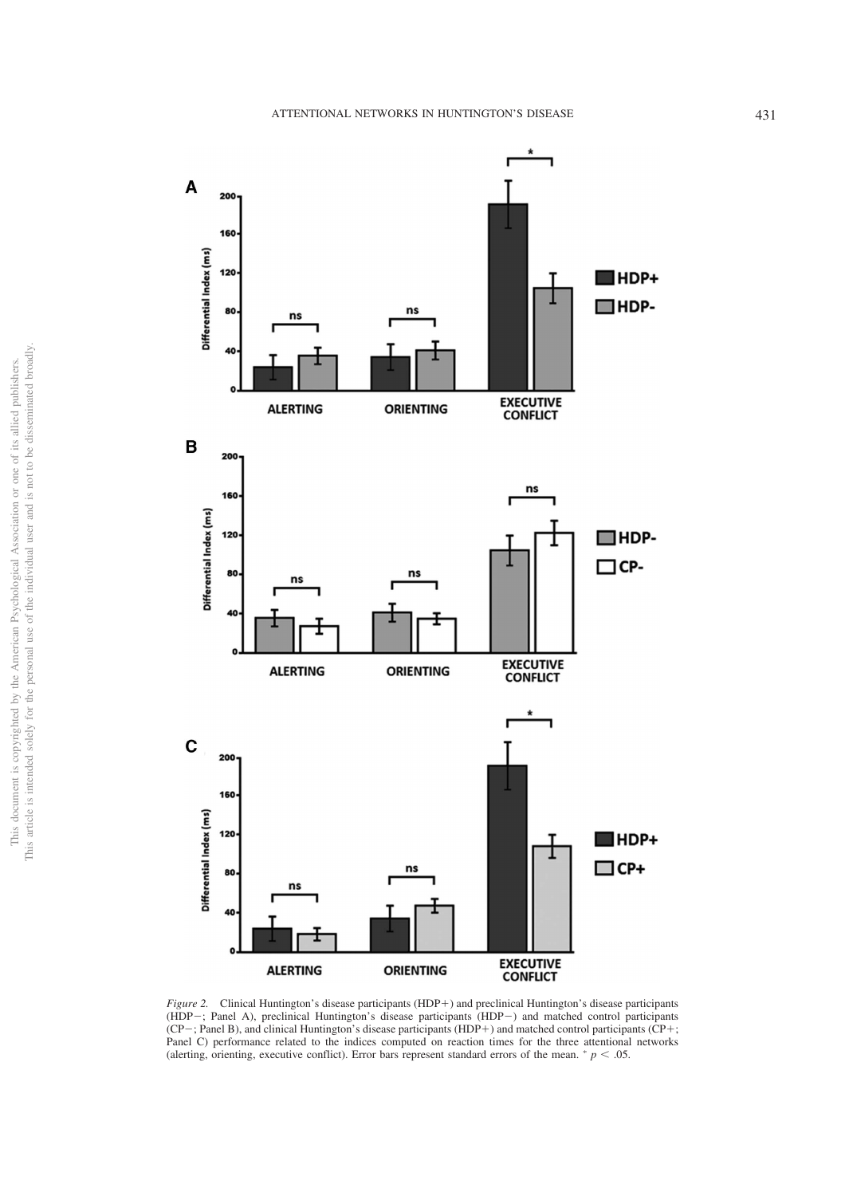

*Figure 2.* Clinical Huntington's disease participants (HDP+) and preclinical Huntington's disease participants (HDP-; Panel A), preclinical Huntington's disease participants (HDP-) and matched control participants  $(CP-;$  Panel B), and clinical Huntington's disease participants  $(HDP+)$  and matched control participants  $(CP+;$ Panel C) performance related to the indices computed on reaction times for the three attentional networks (alerting, orienting, executive conflict). Error bars represent standard errors of the mean.  $p < .05$ .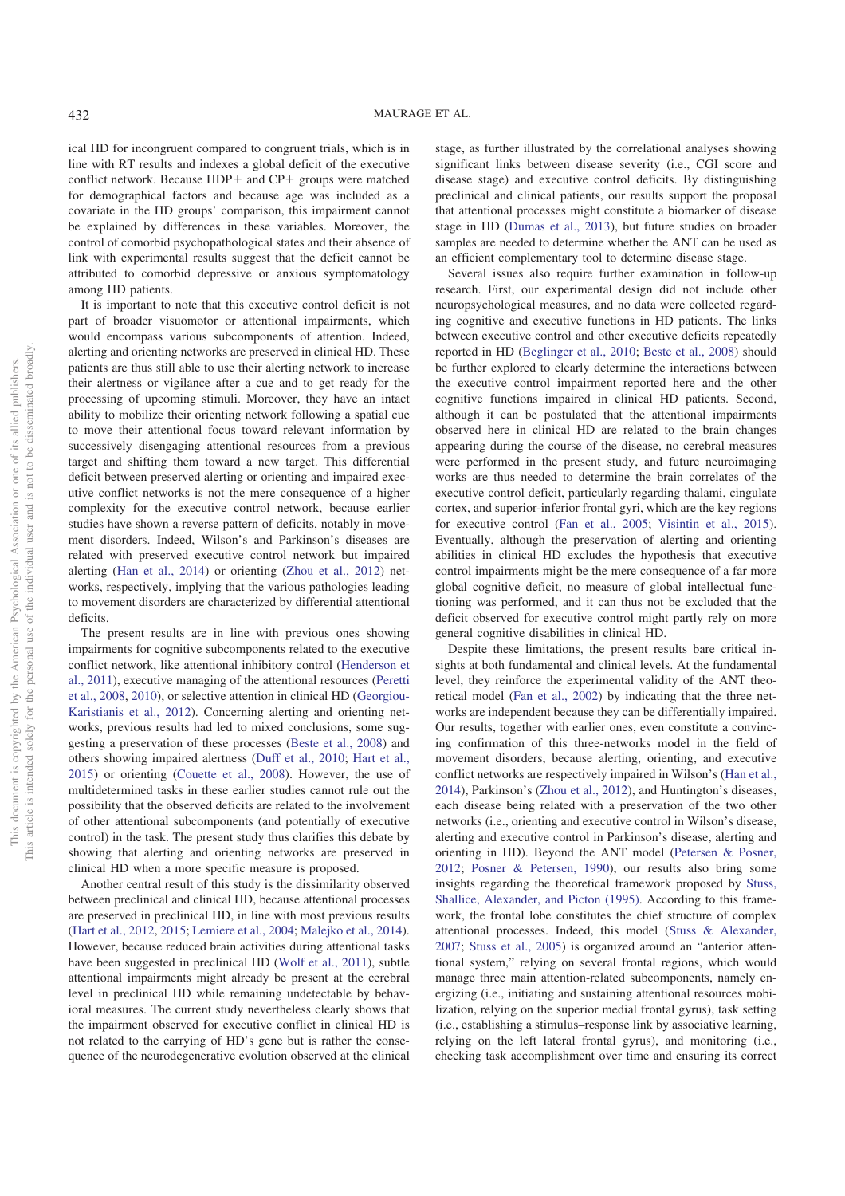ical HD for incongruent compared to congruent trials, which is in line with RT results and indexes a global deficit of the executive conflict network. Because  $HDP+$  and  $CP+$  groups were matched for demographical factors and because age was included as a covariate in the HD groups' comparison, this impairment cannot be explained by differences in these variables. Moreover, the control of comorbid psychopathological states and their absence of link with experimental results suggest that the deficit cannot be attributed to comorbid depressive or anxious symptomatology among HD patients.

It is important to note that this executive control deficit is not part of broader visuomotor or attentional impairments, which would encompass various subcomponents of attention. Indeed, alerting and orienting networks are preserved in clinical HD. These patients are thus still able to use their alerting network to increase their alertness or vigilance after a cue and to get ready for the processing of upcoming stimuli. Moreover, they have an intact ability to mobilize their orienting network following a spatial cue to move their attentional focus toward relevant information by successively disengaging attentional resources from a previous target and shifting them toward a new target. This differential deficit between preserved alerting or orienting and impaired executive conflict networks is not the mere consequence of a higher complexity for the executive control network, because earlier studies have shown a reverse pattern of deficits, notably in movement disorders. Indeed, Wilson's and Parkinson's diseases are related with preserved executive control network but impaired alerting (Han et al., 2014) or orienting (Zhou et al., 2012) networks, respectively, implying that the various pathologies leading to movement disorders are characterized by differential attentional deficits.

The present results are in line with previous ones showing impairments for cognitive subcomponents related to the executive conflict network, like attentional inhibitory control (Henderson et al., 2011), executive managing of the attentional resources (Peretti et al., 2008, 2010), or selective attention in clinical HD (Georgiou-Karistianis et al., 2012). Concerning alerting and orienting networks, previous results had led to mixed conclusions, some suggesting a preservation of these processes (Beste et al., 2008) and others showing impaired alertness (Duff et al., 2010; Hart et al., 2015) or orienting (Couette et al., 2008). However, the use of multidetermined tasks in these earlier studies cannot rule out the possibility that the observed deficits are related to the involvement of other attentional subcomponents (and potentially of executive control) in the task. The present study thus clarifies this debate by showing that alerting and orienting networks are preserved in clinical HD when a more specific measure is proposed.

Another central result of this study is the dissimilarity observed between preclinical and clinical HD, because attentional processes are preserved in preclinical HD, in line with most previous results (Hart et al., 2012, 2015; Lemiere et al., 2004; Malejko et al., 2014). However, because reduced brain activities during attentional tasks have been suggested in preclinical HD (Wolf et al., 2011), subtle attentional impairments might already be present at the cerebral level in preclinical HD while remaining undetectable by behavioral measures. The current study nevertheless clearly shows that the impairment observed for executive conflict in clinical HD is not related to the carrying of HD's gene but is rather the consequence of the neurodegenerative evolution observed at the clinical stage, as further illustrated by the correlational analyses showing significant links between disease severity (i.e., CGI score and disease stage) and executive control deficits. By distinguishing preclinical and clinical patients, our results support the proposal that attentional processes might constitute a biomarker of disease stage in HD (Dumas et al., 2013), but future studies on broader samples are needed to determine whether the ANT can be used as an efficient complementary tool to determine disease stage.

Several issues also require further examination in follow-up research. First, our experimental design did not include other neuropsychological measures, and no data were collected regarding cognitive and executive functions in HD patients. The links between executive control and other executive deficits repeatedly reported in HD (Beglinger et al., 2010; Beste et al., 2008) should be further explored to clearly determine the interactions between the executive control impairment reported here and the other cognitive functions impaired in clinical HD patients. Second, although it can be postulated that the attentional impairments observed here in clinical HD are related to the brain changes appearing during the course of the disease, no cerebral measures were performed in the present study, and future neuroimaging works are thus needed to determine the brain correlates of the executive control deficit, particularly regarding thalami, cingulate cortex, and superior-inferior frontal gyri, which are the key regions for executive control (Fan et al., 2005; Visintin et al., 2015). Eventually, although the preservation of alerting and orienting abilities in clinical HD excludes the hypothesis that executive control impairments might be the mere consequence of a far more global cognitive deficit, no measure of global intellectual functioning was performed, and it can thus not be excluded that the deficit observed for executive control might partly rely on more general cognitive disabilities in clinical HD.

Despite these limitations, the present results bare critical insights at both fundamental and clinical levels. At the fundamental level, they reinforce the experimental validity of the ANT theoretical model (Fan et al., 2002) by indicating that the three networks are independent because they can be differentially impaired. Our results, together with earlier ones, even constitute a convincing confirmation of this three-networks model in the field of movement disorders, because alerting, orienting, and executive conflict networks are respectively impaired in Wilson's (Han et al., 2014), Parkinson's (Zhou et al., 2012), and Huntington's diseases, each disease being related with a preservation of the two other networks (i.e., orienting and executive control in Wilson's disease, alerting and executive control in Parkinson's disease, alerting and orienting in HD). Beyond the ANT model (Petersen & Posner, 2012; Posner & Petersen, 1990), our results also bring some insights regarding the theoretical framework proposed by Stuss, Shallice, Alexander, and Picton (1995). According to this framework, the frontal lobe constitutes the chief structure of complex attentional processes. Indeed, this model (Stuss & Alexander, 2007; Stuss et al., 2005) is organized around an "anterior attentional system," relying on several frontal regions, which would manage three main attention-related subcomponents, namely energizing (i.e., initiating and sustaining attentional resources mobilization, relying on the superior medial frontal gyrus), task setting (i.e., establishing a stimulus–response link by associative learning, relying on the left lateral frontal gyrus), and monitoring (i.e., checking task accomplishment over time and ensuring its correct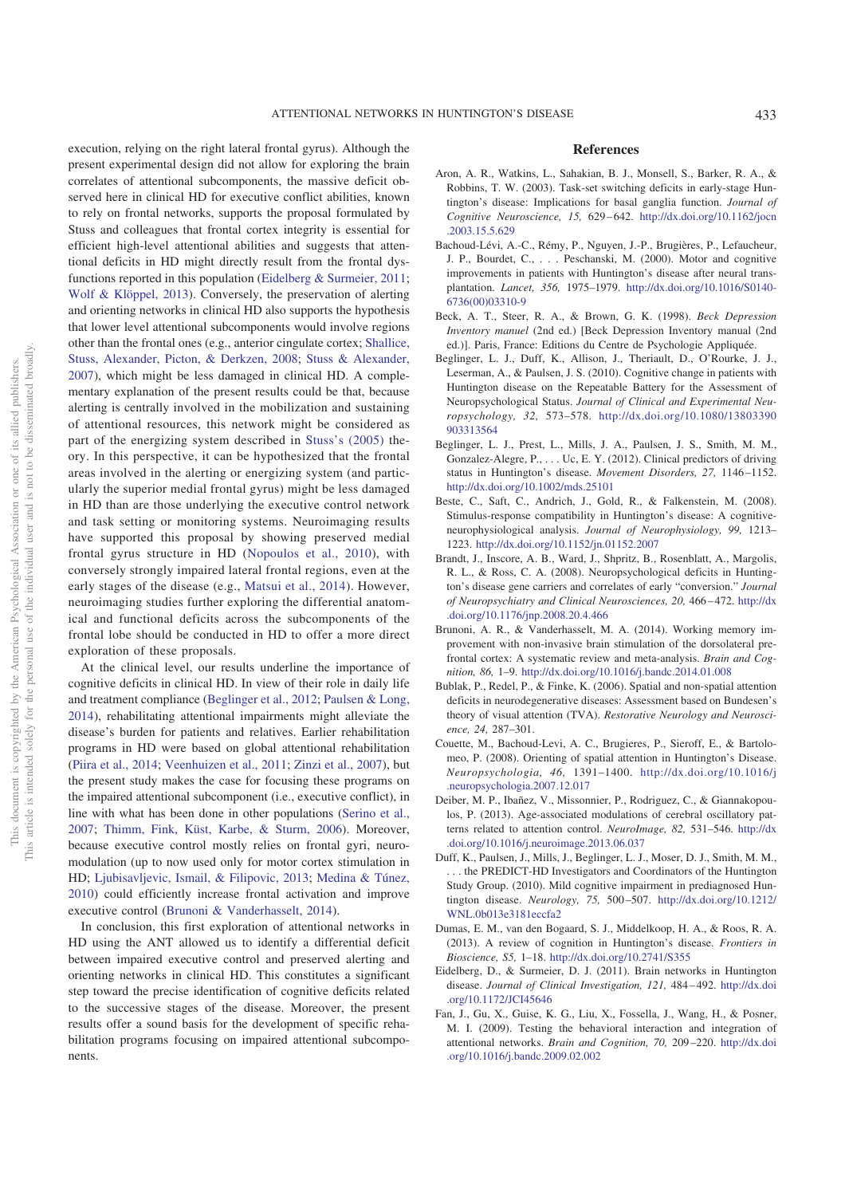execution, relying on the right lateral frontal gyrus). Although the present experimental design did not allow for exploring the brain correlates of attentional subcomponents, the massive deficit observed here in clinical HD for executive conflict abilities, known to rely on frontal networks, supports the proposal formulated by Stuss and colleagues that frontal cortex integrity is essential for efficient high-level attentional abilities and suggests that attentional deficits in HD might directly result from the frontal dysfunctions reported in this population (Eidelberg & Surmeier, 2011; Wolf & Klöppel, 2013). Conversely, the preservation of alerting and orienting networks in clinical HD also supports the hypothesis that lower level attentional subcomponents would involve regions other than the frontal ones (e.g., anterior cingulate cortex; Shallice, Stuss, Alexander, Picton, & Derkzen, 2008; Stuss & Alexander, 2007), which might be less damaged in clinical HD. A complementary explanation of the present results could be that, because alerting is centrally involved in the mobilization and sustaining of attentional resources, this network might be considered as part of the energizing system described in Stuss's (2005) theory. In this perspective, it can be hypothesized that the frontal areas involved in the alerting or energizing system (and particularly the superior medial frontal gyrus) might be less damaged in HD than are those underlying the executive control network and task setting or monitoring systems. Neuroimaging results have supported this proposal by showing preserved medial frontal gyrus structure in HD (Nopoulos et al., 2010), with conversely strongly impaired lateral frontal regions, even at the early stages of the disease (e.g., Matsui et al., 2014). However, neuroimaging studies further exploring the differential anatomical and functional deficits across the subcomponents of the frontal lobe should be conducted in HD to offer a more direct exploration of these proposals.

At the clinical level, our results underline the importance of cognitive deficits in clinical HD. In view of their role in daily life and treatment compliance (Beglinger et al., 2012; Paulsen & Long, 2014), rehabilitating attentional impairments might alleviate the disease's burden for patients and relatives. Earlier rehabilitation programs in HD were based on global attentional rehabilitation (Piira et al., 2014; Veenhuizen et al., 2011; Zinzi et al., 2007), but the present study makes the case for focusing these programs on the impaired attentional subcomponent (i.e., executive conflict), in line with what has been done in other populations (Serino et al., 2007; Thimm, Fink, Küst, Karbe, & Sturm, 2006). Moreover, because executive control mostly relies on frontal gyri, neuromodulation (up to now used only for motor cortex stimulation in HD; Ljubisavljevic, Ismail, & Filipovic, 2013; Medina & Túnez, 2010) could efficiently increase frontal activation and improve executive control (Brunoni & Vanderhasselt, 2014).

In conclusion, this first exploration of attentional networks in HD using the ANT allowed us to identify a differential deficit between impaired executive control and preserved alerting and orienting networks in clinical HD. This constitutes a significant step toward the precise identification of cognitive deficits related to the successive stages of the disease. Moreover, the present results offer a sound basis for the development of specific rehabilitation programs focusing on impaired attentional subcomponents.

## **References**

- Aron, A. R., Watkins, L., Sahakian, B. J., Monsell, S., Barker, R. A., & Robbins, T. W. (2003). Task-set switching deficits in early-stage Huntington's disease: Implications for basal ganglia function. *Journal of Cognitive Neuroscience, 15,* 629 – 642. http://dx.doi.org/10.1162/jocn .2003.15.5.629
- Bachoud-Lévi, A.-C., Rémy, P., Nguyen, J.-P., Brugières, P., Lefaucheur, J. P., Bourdet, C., . . . Peschanski, M. (2000). Motor and cognitive improvements in patients with Huntington's disease after neural transplantation. *Lancet, 356,* 1975–1979. http://dx.doi.org/10.1016/S0140- 6736(00)03310-9
- Beck, A. T., Steer, R. A., & Brown, G. K. (1998). *Beck Depression Inventory manuel* (2nd ed.) [Beck Depression Inventory manual (2nd ed.)]. Paris, France: Editions du Centre de Psychologie Appliquée.
- Beglinger, L. J., Duff, K., Allison, J., Theriault, D., O'Rourke, J. J., Leserman, A., & Paulsen, J. S. (2010). Cognitive change in patients with Huntington disease on the Repeatable Battery for the Assessment of Neuropsychological Status. *Journal of Clinical and Experimental Neuropsychology, 32,* 573–578. http://dx.doi.org/10.1080/13803390 903313564
- Beglinger, L. J., Prest, L., Mills, J. A., Paulsen, J. S., Smith, M. M., Gonzalez-Alegre, P., . . . Uc, E. Y. (2012). Clinical predictors of driving status in Huntington's disease. *Movement Disorders, 27,* 1146 –1152. http://dx.doi.org/10.1002/mds.25101
- Beste, C., Saft, C., Andrich, J., Gold, R., & Falkenstein, M. (2008). Stimulus-response compatibility in Huntington's disease: A cognitiveneurophysiological analysis. *Journal of Neurophysiology, 99,* 1213– 1223. http://dx.doi.org/10.1152/jn.01152.2007
- Brandt, J., Inscore, A. B., Ward, J., Shpritz, B., Rosenblatt, A., Margolis, R. L., & Ross, C. A. (2008). Neuropsychological deficits in Huntington's disease gene carriers and correlates of early "conversion." *Journal of Neuropsychiatry and Clinical Neurosciences, 20,* 466 – 472. http://dx .doi.org/10.1176/jnp.2008.20.4.466
- Brunoni, A. R., & Vanderhasselt, M. A. (2014). Working memory improvement with non-invasive brain stimulation of the dorsolateral prefrontal cortex: A systematic review and meta-analysis. *Brain and Cognition, 86,* 1–9. http://dx.doi.org/10.1016/j.bandc.2014.01.008
- Bublak, P., Redel, P., & Finke, K. (2006). Spatial and non-spatial attention deficits in neurodegenerative diseases: Assessment based on Bundesen's theory of visual attention (TVA). *Restorative Neurology and Neuroscience, 24,* 287–301.
- Couette, M., Bachoud-Levi, A. C., Brugieres, P., Sieroff, E., & Bartolomeo, P. (2008). Orienting of spatial attention in Huntington's Disease. *Neuropsychologia, 46,* 1391–1400. http://dx.doi.org/10.1016/j .neuropsychologia.2007.12.017
- Deiber, M. P., Ibañez, V., Missonnier, P., Rodriguez, C., & Giannakopoulos, P. (2013). Age-associated modulations of cerebral oscillatory patterns related to attention control. *NeuroImage, 82,* 531–546. http://dx .doi.org/10.1016/j.neuroimage.2013.06.037
- Duff, K., Paulsen, J., Mills, J., Beglinger, L. J., Moser, D. J., Smith, M. M., . . . the PREDICT-HD Investigators and Coordinators of the Huntington Study Group. (2010). Mild cognitive impairment in prediagnosed Huntington disease. *Neurology, 75,* 500 –507. http://dx.doi.org/10.1212/ WNL.0b013e3181eccfa2
- Dumas, E. M., van den Bogaard, S. J., Middelkoop, H. A., & Roos, R. A. (2013). A review of cognition in Huntington's disease. *Frontiers in Bioscience, S5,* 1–18. http://dx.doi.org/10.2741/S355
- Eidelberg, D., & Surmeier, D. J. (2011). Brain networks in Huntington disease. *Journal of Clinical Investigation, 121,* 484 – 492. http://dx.doi .org/10.1172/JCI45646
- Fan, J., Gu, X., Guise, K. G., Liu, X., Fossella, J., Wang, H., & Posner, M. I. (2009). Testing the behavioral interaction and integration of attentional networks. *Brain and Cognition, 70,* 209 –220. http://dx.doi .org/10.1016/j.bandc.2009.02.002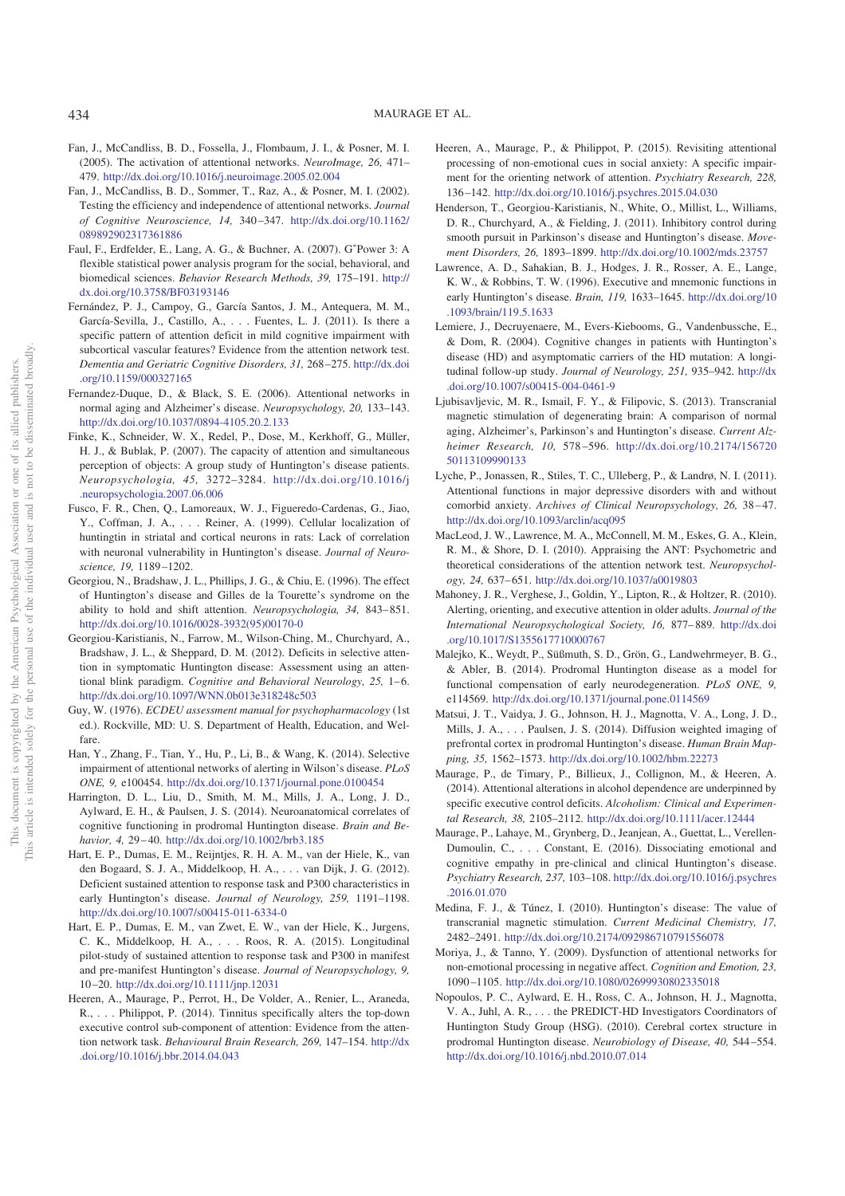- Fan, J., McCandliss, B. D., Fossella, J., Flombaum, J. I., & Posner, M. I. (2005). The activation of attentional networks. *NeuroImage, 26,* 471– 479. http://dx.doi.org/10.1016/j.neuroimage.2005.02.004
- Fan, J., McCandliss, B. D., Sommer, T., Raz, A., & Posner, M. I. (2002). Testing the efficiency and independence of attentional networks. *Journal of Cognitive Neuroscience, 14,* 340 –347. http://dx.doi.org/10.1162/ 089892902317361886
- Faul, F., Erdfelder, E., Lang, A. G., & Buchner, A. (2007). G<sup>\*</sup>Power 3: A flexible statistical power analysis program for the social, behavioral, and biomedical sciences. *Behavior Research Methods, 39,* 175–191. http:// dx.doi.org/10.3758/BF03193146
- Fernández, P. J., Campoy, G., García Santos, J. M., Antequera, M. M., García-Sevilla, J., Castillo, A.,... Fuentes, L. J. (2011). Is there a specific pattern of attention deficit in mild cognitive impairment with subcortical vascular features? Evidence from the attention network test. *Dementia and Geriatric Cognitive Disorders, 31,* 268 –275. http://dx.doi .org/10.1159/000327165
- Fernandez-Duque, D., & Black, S. E. (2006). Attentional networks in normal aging and Alzheimer's disease. *Neuropsychology, 20,* 133–143. http://dx.doi.org/10.1037/0894-4105.20.2.133
- Finke, K., Schneider, W. X., Redel, P., Dose, M., Kerkhoff, G., Müller, H. J., & Bublak, P. (2007). The capacity of attention and simultaneous perception of objects: A group study of Huntington's disease patients. *Neuropsychologia, 45,* 3272–3284. http://dx.doi.org/10.1016/j .neuropsychologia.2007.06.006
- Fusco, F. R., Chen, Q., Lamoreaux, W. J., Figueredo-Cardenas, G., Jiao, Y., Coffman, J. A.,... Reiner, A. (1999). Cellular localization of huntingtin in striatal and cortical neurons in rats: Lack of correlation with neuronal vulnerability in Huntington's disease. *Journal of Neuroscience, 19,* 1189 –1202.
- Georgiou, N., Bradshaw, J. L., Phillips, J. G., & Chiu, E. (1996). The effect of Huntington's disease and Gilles de la Tourette's syndrome on the ability to hold and shift attention. *Neuropsychologia, 34,* 843– 851. http://dx.doi.org/10.1016/0028-3932(95)00170-0
- Georgiou-Karistianis, N., Farrow, M., Wilson-Ching, M., Churchyard, A., Bradshaw, J. L., & Sheppard, D. M. (2012). Deficits in selective attention in symptomatic Huntington disease: Assessment using an attentional blink paradigm. *Cognitive and Behavioral Neurology*, 25, 1-6. http://dx.doi.org/10.1097/WNN.0b013e318248c503
- Guy, W. (1976). *ECDEU assessment manual for psychopharmacology* (1st ed.). Rockville, MD: U. S. Department of Health, Education, and Welfare.
- Han, Y., Zhang, F., Tian, Y., Hu, P., Li, B., & Wang, K. (2014). Selective impairment of attentional networks of alerting in Wilson's disease. *PLoS ONE, 9,* e100454. http://dx.doi.org/10.1371/journal.pone.0100454
- Harrington, D. L., Liu, D., Smith, M. M., Mills, J. A., Long, J. D., Aylward, E. H., & Paulsen, J. S. (2014). Neuroanatomical correlates of cognitive functioning in prodromal Huntington disease. *Brain and Behavior, 4,* 29 – 40. http://dx.doi.org/10.1002/brb3.185
- Hart, E. P., Dumas, E. M., Reijntjes, R. H. A. M., van der Hiele, K., van den Bogaard, S. J. A., Middelkoop, H. A., . . . van Dijk, J. G. (2012). Deficient sustained attention to response task and P300 characteristics in early Huntington's disease. *Journal of Neurology, 259,* 1191–1198. http://dx.doi.org/10.1007/s00415-011-6334-0
- Hart, E. P., Dumas, E. M., van Zwet, E. W., van der Hiele, K., Jurgens, C. K., Middelkoop, H. A.,... Roos, R. A. (2015). Longitudinal pilot-study of sustained attention to response task and P300 in manifest and pre-manifest Huntington's disease. *Journal of Neuropsychology, 9,* 10 –20. http://dx.doi.org/10.1111/jnp.12031
- Heeren, A., Maurage, P., Perrot, H., De Volder, A., Renier, L., Araneda, R., . . . Philippot, P. (2014). Tinnitus specifically alters the top-down executive control sub-component of attention: Evidence from the attention network task. *Behavioural Brain Research, 269,* 147–154. http://dx .doi.org/10.1016/j.bbr.2014.04.043
- Heeren, A., Maurage, P., & Philippot, P. (2015). Revisiting attentional processing of non-emotional cues in social anxiety: A specific impairment for the orienting network of attention. *Psychiatry Research, 228,* 136 –142. http://dx.doi.org/10.1016/j.psychres.2015.04.030
- Henderson, T., Georgiou-Karistianis, N., White, O., Millist, L., Williams, D. R., Churchyard, A., & Fielding, J. (2011). Inhibitory control during smooth pursuit in Parkinson's disease and Huntington's disease. *Movement Disorders, 26,* 1893–1899. http://dx.doi.org/10.1002/mds.23757
- Lawrence, A. D., Sahakian, B. J., Hodges, J. R., Rosser, A. E., Lange, K. W., & Robbins, T. W. (1996). Executive and mnemonic functions in early Huntington's disease. *Brain, 119,* 1633–1645. http://dx.doi.org/10 .1093/brain/119.5.1633
- Lemiere, J., Decruyenaere, M., Evers-Kiebooms, G., Vandenbussche, E., & Dom, R. (2004). Cognitive changes in patients with Huntington's disease (HD) and asymptomatic carriers of the HD mutation: A longitudinal follow-up study. *Journal of Neurology, 251,* 935–942. http://dx .doi.org/10.1007/s00415-004-0461-9
- Ljubisavljevic, M. R., Ismail, F. Y., & Filipovic, S. (2013). Transcranial magnetic stimulation of degenerating brain: A comparison of normal aging, Alzheimer's, Parkinson's and Huntington's disease. *Current Alzheimer Research, 10,* 578 –596. http://dx.doi.org/10.2174/156720 50113109990133
- Lyche, P., Jonassen, R., Stiles, T. C., Ulleberg, P., & Landrø, N. I. (2011). Attentional functions in major depressive disorders with and without comorbid anxiety. *Archives of Clinical Neuropsychology*, 26, 38-47. http://dx.doi.org/10.1093/arclin/acq095
- MacLeod, J. W., Lawrence, M. A., McConnell, M. M., Eskes, G. A., Klein, R. M., & Shore, D. I. (2010). Appraising the ANT: Psychometric and theoretical considerations of the attention network test. *Neuropsychology, 24,* 637– 651. http://dx.doi.org/10.1037/a0019803
- Mahoney, J. R., Verghese, J., Goldin, Y., Lipton, R., & Holtzer, R. (2010). Alerting, orienting, and executive attention in older adults. *Journal of the International Neuropsychological Society, 16,* 877– 889. http://dx.doi .org/10.1017/S1355617710000767
- Malejko, K., Weydt, P., Süßmuth, S. D., Grön, G., Landwehrmeyer, B. G., & Abler, B. (2014). Prodromal Huntington disease as a model for functional compensation of early neurodegeneration. *PLoS ONE, 9,* e114569. http://dx.doi.org/10.1371/journal.pone.0114569
- Matsui, J. T., Vaidya, J. G., Johnson, H. J., Magnotta, V. A., Long, J. D., Mills, J. A.,... Paulsen, J. S. (2014). Diffusion weighted imaging of prefrontal cortex in prodromal Huntington's disease. *Human Brain Mapping, 35,* 1562–1573. http://dx.doi.org/10.1002/hbm.22273
- Maurage, P., de Timary, P., Billieux, J., Collignon, M., & Heeren, A. (2014). Attentional alterations in alcohol dependence are underpinned by specific executive control deficits. *Alcoholism: Clinical and Experimental Research, 38,* 2105–2112. http://dx.doi.org/10.1111/acer.12444
- Maurage, P., Lahaye, M., Grynberg, D., Jeanjean, A., Guettat, L., Verellen-Dumoulin, C.,... Constant, E. (2016). Dissociating emotional and cognitive empathy in pre-clinical and clinical Huntington's disease. *Psychiatry Research, 237,* 103–108. http://dx.doi.org/10.1016/j.psychres .2016.01.070
- Medina, F. J., & Túnez, I. (2010). Huntington's disease: The value of transcranial magnetic stimulation. *Current Medicinal Chemistry, 17,* 2482–2491. http://dx.doi.org/10.2174/092986710791556078
- Moriya, J., & Tanno, Y. (2009). Dysfunction of attentional networks for non-emotional processing in negative affect. *Cognition and Emotion, 23,* 1090 –1105. http://dx.doi.org/10.1080/02699930802335018
- Nopoulos, P. C., Aylward, E. H., Ross, C. A., Johnson, H. J., Magnotta, V. A., Juhl, A. R., . . . the PREDICT-HD Investigators Coordinators of Huntington Study Group (HSG). (2010). Cerebral cortex structure in prodromal Huntington disease. *Neurobiology of Disease, 40,* 544 –554. http://dx.doi.org/10.1016/j.nbd.2010.07.014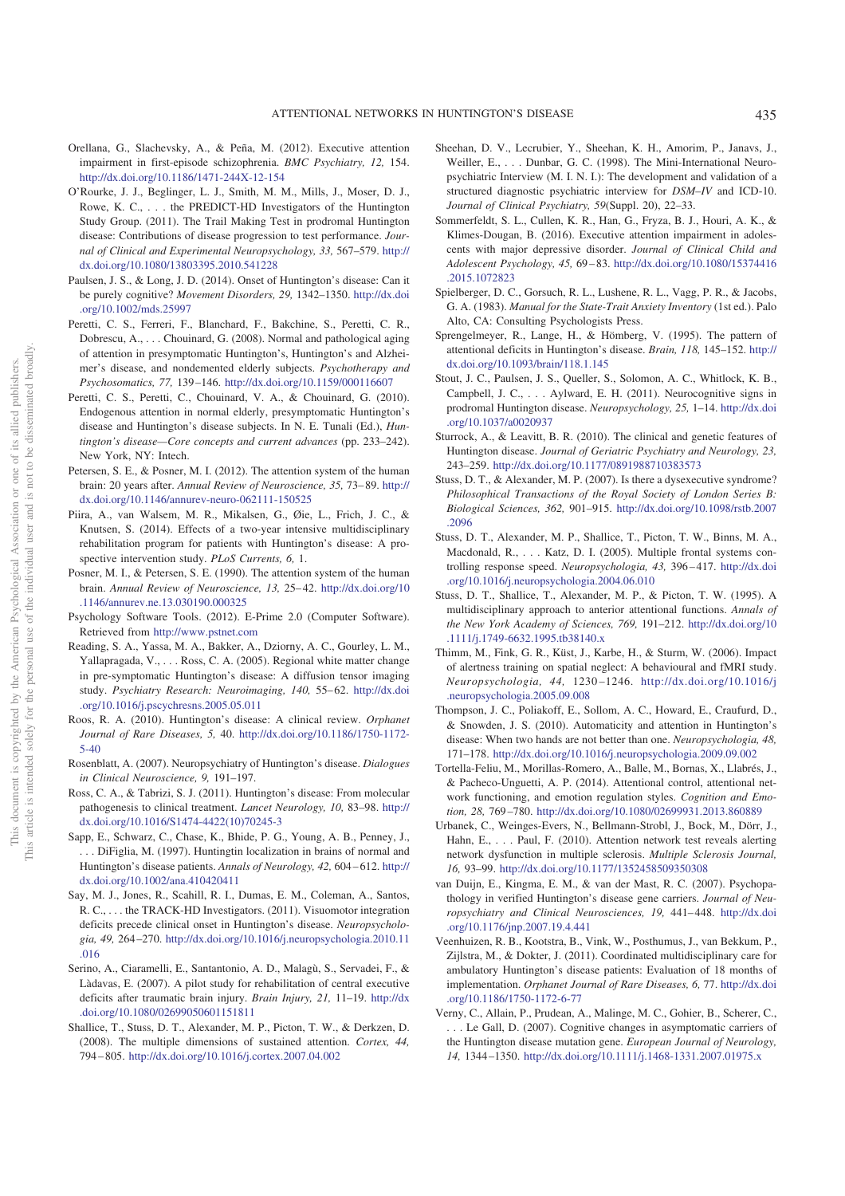- Orellana, G., Slachevsky, A., & Peña, M. (2012). Executive attention impairment in first-episode schizophrenia. *BMC Psychiatry, 12,* 154. http://dx.doi.org/10.1186/1471-244X-12-154
- O'Rourke, J. J., Beglinger, L. J., Smith, M. M., Mills, J., Moser, D. J., Rowe, K. C., . . . the PREDICT-HD Investigators of the Huntington Study Group. (2011). The Trail Making Test in prodromal Huntington disease: Contributions of disease progression to test performance. *Journal of Clinical and Experimental Neuropsychology, 33,* 567–579. http:// dx.doi.org/10.1080/13803395.2010.541228
- Paulsen, J. S., & Long, J. D. (2014). Onset of Huntington's disease: Can it be purely cognitive? *Movement Disorders, 29,* 1342–1350. http://dx.doi .org/10.1002/mds.25997
- Peretti, C. S., Ferreri, F., Blanchard, F., Bakchine, S., Peretti, C. R., Dobrescu, A.,... Chouinard, G. (2008). Normal and pathological aging of attention in presymptomatic Huntington's, Huntington's and Alzheimer's disease, and nondemented elderly subjects. *Psychotherapy and Psychosomatics, 77,* 139 –146. http://dx.doi.org/10.1159/000116607
- Peretti, C. S., Peretti, C., Chouinard, V. A., & Chouinard, G. (2010). Endogenous attention in normal elderly, presymptomatic Huntington's disease and Huntington's disease subjects. In N. E. Tunali (Ed.), *Huntington's disease—Core concepts and current advances* (pp. 233–242). New York, NY: Intech.
- Petersen, S. E., & Posner, M. I. (2012). The attention system of the human brain: 20 years after. *Annual Review of Neuroscience, 35,* 73– 89. http:// dx.doi.org/10.1146/annurev-neuro-062111-150525
- Piira, A., van Walsem, M. R., Mikalsen, G., Øie, L., Frich, J. C., & Knutsen, S. (2014). Effects of a two-year intensive multidisciplinary rehabilitation program for patients with Huntington's disease: A prospective intervention study. *PLoS Currents, 6,* 1.
- Posner, M. I., & Petersen, S. E. (1990). The attention system of the human brain. *Annual Review of Neuroscience, 13,* 25– 42. http://dx.doi.org/10 .1146/annurev.ne.13.030190.000325
- Psychology Software Tools. (2012). E-Prime 2.0 (Computer Software). Retrieved from http://www.pstnet.com
- Reading, S. A., Yassa, M. A., Bakker, A., Dziorny, A. C., Gourley, L. M., Yallapragada, V., . . . Ross, C. A. (2005). Regional white matter change in pre-symptomatic Huntington's disease: A diffusion tensor imaging study. Psychiatry Research: Neuroimaging, 140, 55-62. http://dx.doi .org/10.1016/j.pscychresns.2005.05.011
- Roos, R. A. (2010). Huntington's disease: A clinical review. *Orphanet Journal of Rare Diseases, 5,* 40. http://dx.doi.org/10.1186/1750-1172- 5-40
- Rosenblatt, A. (2007). Neuropsychiatry of Huntington's disease. *Dialogues in Clinical Neuroscience, 9,* 191–197.
- Ross, C. A., & Tabrizi, S. J. (2011). Huntington's disease: From molecular pathogenesis to clinical treatment. *Lancet Neurology, 10,* 83–98. http:// dx.doi.org/10.1016/S1474-4422(10)70245-3
- Sapp, E., Schwarz, C., Chase, K., Bhide, P. G., Young, A. B., Penney, J., . . . DiFiglia, M. (1997). Huntingtin localization in brains of normal and Huntington's disease patients. *Annals of Neurology, 42,* 604 – 612. http:// dx.doi.org/10.1002/ana.410420411
- Say, M. J., Jones, R., Scahill, R. I., Dumas, E. M., Coleman, A., Santos, R. C., . . . the TRACK-HD Investigators. (2011). Visuomotor integration deficits precede clinical onset in Huntington's disease. *Neuropsychologia, 49,* 264 –270. http://dx.doi.org/10.1016/j.neuropsychologia.2010.11 .016
- Serino, A., Ciaramelli, E., Santantonio, A. D., Malagù, S., Servadei, F., & Làdavas, E. (2007). A pilot study for rehabilitation of central executive deficits after traumatic brain injury. *Brain Injury, 21,* 11–19. http://dx .doi.org/10.1080/02699050601151811
- Shallice, T., Stuss, D. T., Alexander, M. P., Picton, T. W., & Derkzen, D. (2008). The multiple dimensions of sustained attention. *Cortex, 44,* 794 – 805. http://dx.doi.org/10.1016/j.cortex.2007.04.002
- Sheehan, D. V., Lecrubier, Y., Sheehan, K. H., Amorim, P., Janavs, J., Weiller, E.,... Dunbar, G. C. (1998). The Mini-International Neuropsychiatric Interview (M. I. N. I.): The development and validation of a structured diagnostic psychiatric interview for *DSM–IV* and ICD-10. *Journal of Clinical Psychiatry, 59*(Suppl. 20), 22–33.
- Sommerfeldt, S. L., Cullen, K. R., Han, G., Fryza, B. J., Houri, A. K., & Klimes-Dougan, B. (2016). Executive attention impairment in adolescents with major depressive disorder. *Journal of Clinical Child and Adolescent Psychology, 45,* 69 – 83. http://dx.doi.org/10.1080/15374416 .2015.1072823
- Spielberger, D. C., Gorsuch, R. L., Lushene, R. L., Vagg, P. R., & Jacobs, G. A. (1983). *Manual for the State-Trait Anxiety Inventory* (1st ed.). Palo Alto, CA: Consulting Psychologists Press.
- Sprengelmeyer, R., Lange, H., & Hömberg, V. (1995). The pattern of attentional deficits in Huntington's disease. *Brain, 118,* 145–152. http:// dx.doi.org/10.1093/brain/118.1.145
- Stout, J. C., Paulsen, J. S., Queller, S., Solomon, A. C., Whitlock, K. B., Campbell, J. C.,... Aylward, E. H. (2011). Neurocognitive signs in prodromal Huntington disease. *Neuropsychology, 25,* 1–14. http://dx.doi .org/10.1037/a0020937
- Sturrock, A., & Leavitt, B. R. (2010). The clinical and genetic features of Huntington disease. *Journal of Geriatric Psychiatry and Neurology, 23,* 243–259. http://dx.doi.org/10.1177/0891988710383573
- Stuss, D. T., & Alexander, M. P. (2007). Is there a dysexecutive syndrome? *Philosophical Transactions of the Royal Society of London Series B: Biological Sciences, 362,* 901–915. http://dx.doi.org/10.1098/rstb.2007 .2096
- Stuss, D. T., Alexander, M. P., Shallice, T., Picton, T. W., Binns, M. A., Macdonald, R.,... Katz, D. I. (2005). Multiple frontal systems controlling response speed. *Neuropsychologia, 43,* 396 – 417. http://dx.doi .org/10.1016/j.neuropsychologia.2004.06.010
- Stuss, D. T., Shallice, T., Alexander, M. P., & Picton, T. W. (1995). A multidisciplinary approach to anterior attentional functions. *Annals of the New York Academy of Sciences, 769,* 191–212. http://dx.doi.org/10 .1111/j.1749-6632.1995.tb38140.x
- Thimm, M., Fink, G. R., Küst, J., Karbe, H., & Sturm, W. (2006). Impact of alertness training on spatial neglect: A behavioural and fMRI study. *Neuropsychologia, 44,* 1230 –1246. http://dx.doi.org/10.1016/j .neuropsychologia.2005.09.008
- Thompson, J. C., Poliakoff, E., Sollom, A. C., Howard, E., Craufurd, D., & Snowden, J. S. (2010). Automaticity and attention in Huntington's disease: When two hands are not better than one. *Neuropsychologia, 48,* 171–178. http://dx.doi.org/10.1016/j.neuropsychologia.2009.09.002
- Tortella-Feliu, M., Morillas-Romero, A., Balle, M., Bornas, X., Llabrés, J., & Pacheco-Unguetti, A. P. (2014). Attentional control, attentional network functioning, and emotion regulation styles. *Cognition and Emotion, 28,* 769 –780. http://dx.doi.org/10.1080/02699931.2013.860889
- Urbanek, C., Weinges-Evers, N., Bellmann-Strobl, J., Bock, M., Dörr, J., Hahn, E.,... Paul, F. (2010). Attention network test reveals alerting network dysfunction in multiple sclerosis. *Multiple Sclerosis Journal, 16,* 93–99. http://dx.doi.org/10.1177/1352458509350308
- van Duijn, E., Kingma, E. M., & van der Mast, R. C. (2007). Psychopathology in verified Huntington's disease gene carriers. *Journal of Neuropsychiatry and Clinical Neurosciences, 19,* 441– 448. http://dx.doi .org/10.1176/jnp.2007.19.4.441
- Veenhuizen, R. B., Kootstra, B., Vink, W., Posthumus, J., van Bekkum, P., Zijlstra, M., & Dokter, J. (2011). Coordinated multidisciplinary care for ambulatory Huntington's disease patients: Evaluation of 18 months of implementation. *Orphanet Journal of Rare Diseases, 6,* 77. http://dx.doi .org/10.1186/1750-1172-6-77
- Verny, C., Allain, P., Prudean, A., Malinge, M. C., Gohier, B., Scherer, C., . . . Le Gall, D. (2007). Cognitive changes in asymptomatic carriers of the Huntington disease mutation gene. *European Journal of Neurology, 14,* 1344 –1350. http://dx.doi.org/10.1111/j.1468-1331.2007.01975.x